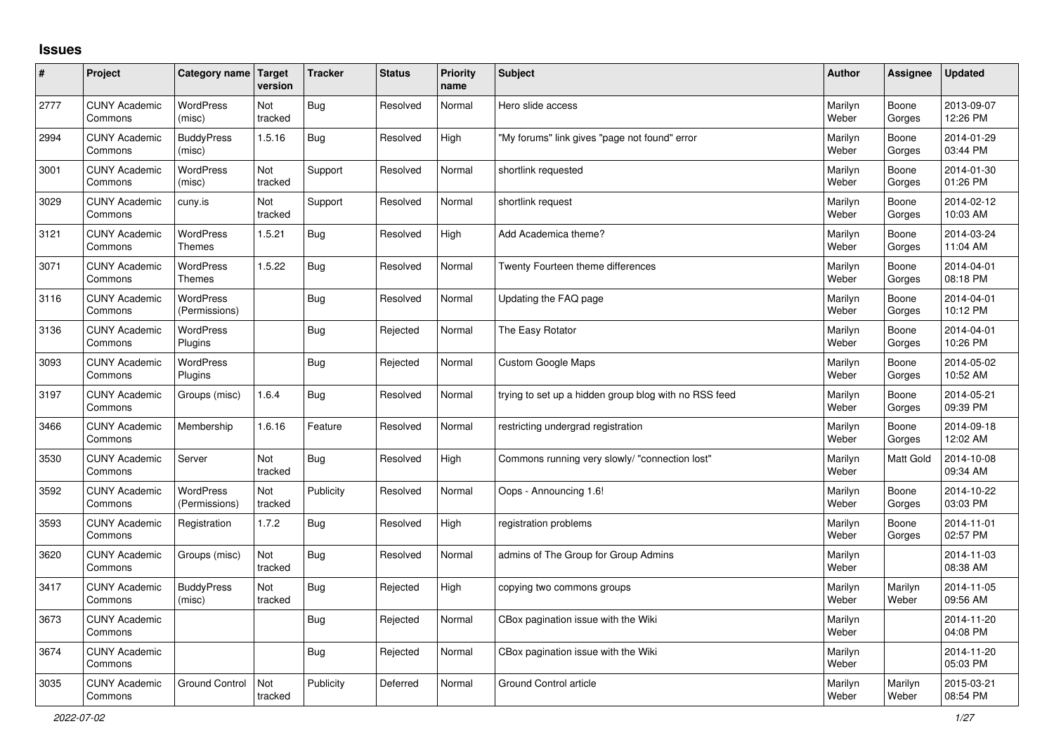## **Issues**

| ∦    | Project                         | Category name Target              | version        | <b>Tracker</b> | <b>Status</b> | <b>Priority</b><br>name | <b>Subject</b>                                        | <b>Author</b>    | Assignee         | Updated                |
|------|---------------------------------|-----------------------------------|----------------|----------------|---------------|-------------------------|-------------------------------------------------------|------------------|------------------|------------------------|
| 2777 | <b>CUNY Academic</b><br>Commons | WordPress<br>(misc)               | Not<br>tracked | <b>Bug</b>     | Resolved      | Normal                  | Hero slide access                                     | Marilyn<br>Weber | Boone<br>Gorges  | 2013-09-07<br>12:26 PM |
| 2994 | <b>CUNY Academic</b><br>Commons | <b>BuddyPress</b><br>(misc)       | 1.5.16         | Bug            | Resolved      | High                    | "My forums" link gives "page not found" error         | Marilyn<br>Weber | Boone<br>Gorges  | 2014-01-29<br>03:44 PM |
| 3001 | <b>CUNY Academic</b><br>Commons | <b>WordPress</b><br>(misc)        | Not<br>tracked | Support        | Resolved      | Normal                  | shortlink requested                                   | Marilyn<br>Weber | Boone<br>Gorges  | 2014-01-30<br>01:26 PM |
| 3029 | <b>CUNY Academic</b><br>Commons | cuny.is                           | Not<br>tracked | Support        | Resolved      | Normal                  | shortlink request                                     | Marilyn<br>Weber | Boone<br>Gorges  | 2014-02-12<br>10:03 AM |
| 3121 | <b>CUNY Academic</b><br>Commons | <b>WordPress</b><br><b>Themes</b> | 1.5.21         | <b>Bug</b>     | Resolved      | High                    | Add Academica theme?                                  | Marilyn<br>Weber | Boone<br>Gorges  | 2014-03-24<br>11:04 AM |
| 3071 | <b>CUNY Academic</b><br>Commons | WordPress<br><b>Themes</b>        | 1.5.22         | <b>Bug</b>     | Resolved      | Normal                  | Twenty Fourteen theme differences                     | Marilyn<br>Weber | Boone<br>Gorges  | 2014-04-01<br>08:18 PM |
| 3116 | <b>CUNY Academic</b><br>Commons | <b>WordPress</b><br>(Permissions) |                | <b>Bug</b>     | Resolved      | Normal                  | Updating the FAQ page                                 | Marilyn<br>Weber | Boone<br>Gorges  | 2014-04-01<br>10:12 PM |
| 3136 | <b>CUNY Academic</b><br>Commons | WordPress<br>Plugins              |                | Bug            | Rejected      | Normal                  | The Easy Rotator                                      | Marilyn<br>Weber | Boone<br>Gorges  | 2014-04-01<br>10:26 PM |
| 3093 | <b>CUNY Academic</b><br>Commons | <b>WordPress</b><br>Plugins       |                | Bug            | Rejected      | Normal                  | <b>Custom Google Maps</b>                             | Marilyn<br>Weber | Boone<br>Gorges  | 2014-05-02<br>10:52 AM |
| 3197 | <b>CUNY Academic</b><br>Commons | Groups (misc)                     | 1.6.4          | Bug            | Resolved      | Normal                  | trying to set up a hidden group blog with no RSS feed | Marilyn<br>Weber | Boone<br>Gorges  | 2014-05-21<br>09:39 PM |
| 3466 | <b>CUNY Academic</b><br>Commons | Membership                        | 1.6.16         | Feature        | Resolved      | Normal                  | restricting undergrad registration                    | Marilyn<br>Weber | Boone<br>Gorges  | 2014-09-18<br>12:02 AM |
| 3530 | <b>CUNY Academic</b><br>Commons | Server                            | Not<br>tracked | Bug            | Resolved      | High                    | Commons running very slowly/ "connection lost"        | Marilyn<br>Weber | <b>Matt Gold</b> | 2014-10-08<br>09:34 AM |
| 3592 | <b>CUNY Academic</b><br>Commons | WordPress<br>(Permissions)        | Not<br>tracked | Publicity      | Resolved      | Normal                  | Oops - Announcing 1.6!                                | Marilyn<br>Weber | Boone<br>Gorges  | 2014-10-22<br>03:03 PM |
| 3593 | <b>CUNY Academic</b><br>Commons | Registration                      | 1.7.2          | Bug            | Resolved      | High                    | registration problems                                 | Marilyn<br>Weber | Boone<br>Gorges  | 2014-11-01<br>02:57 PM |
| 3620 | <b>CUNY Academic</b><br>Commons | Groups (misc)                     | Not<br>tracked | <b>Bug</b>     | Resolved      | Normal                  | admins of The Group for Group Admins                  | Marilyn<br>Weber |                  | 2014-11-03<br>08:38 AM |
| 3417 | <b>CUNY Academic</b><br>Commons | <b>BuddyPress</b><br>(misc)       | Not<br>tracked | <b>Bug</b>     | Rejected      | High                    | copying two commons groups                            | Marilyn<br>Weber | Marilyn<br>Weber | 2014-11-05<br>09:56 AM |
| 3673 | <b>CUNY Academic</b><br>Commons |                                   |                | Bug            | Rejected      | Normal                  | CBox pagination issue with the Wiki                   | Marilyn<br>Weber |                  | 2014-11-20<br>04:08 PM |
| 3674 | <b>CUNY Academic</b><br>Commons |                                   |                | <b>Bug</b>     | Rejected      | Normal                  | CBox pagination issue with the Wiki                   | Marilyn<br>Weber |                  | 2014-11-20<br>05:03 PM |
| 3035 | <b>CUNY Academic</b><br>Commons | <b>Ground Control</b>             | Not<br>tracked | Publicity      | Deferred      | Normal                  | Ground Control article                                | Marilyn<br>Weber | Marilyn<br>Weber | 2015-03-21<br>08:54 PM |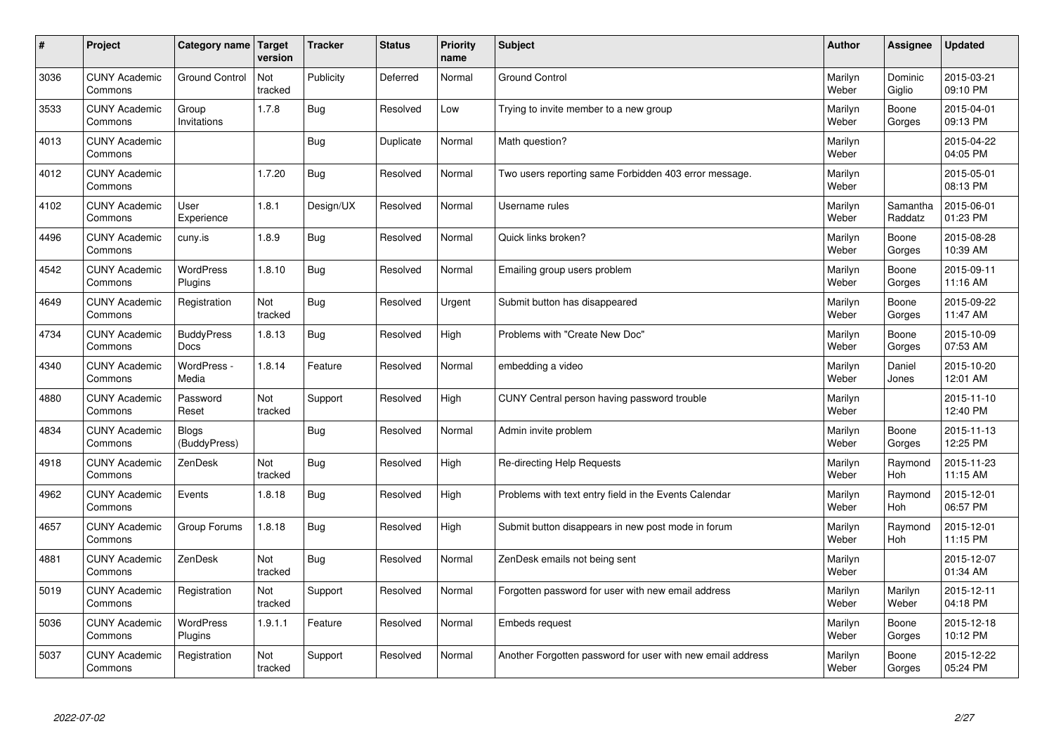| $\vert$ # | Project                         | Category name                | <b>Target</b><br>version | <b>Tracker</b> | <b>Status</b> | <b>Priority</b><br>name | <b>Subject</b>                                             | <b>Author</b>    | <b>Assignee</b>       | <b>Updated</b>         |
|-----------|---------------------------------|------------------------------|--------------------------|----------------|---------------|-------------------------|------------------------------------------------------------|------------------|-----------------------|------------------------|
| 3036      | <b>CUNY Academic</b><br>Commons | <b>Ground Control</b>        | Not<br>tracked           | Publicity      | Deferred      | Normal                  | <b>Ground Control</b>                                      | Marilyn<br>Weber | Dominic<br>Giglio     | 2015-03-21<br>09:10 PM |
| 3533      | <b>CUNY Academic</b><br>Commons | Group<br>Invitations         | 1.7.8                    | <b>Bug</b>     | Resolved      | Low                     | Trying to invite member to a new group                     | Marilyn<br>Weber | Boone<br>Gorges       | 2015-04-01<br>09:13 PM |
| 4013      | <b>CUNY Academic</b><br>Commons |                              |                          | <b>Bug</b>     | Duplicate     | Normal                  | Math question?                                             | Marilyn<br>Weber |                       | 2015-04-22<br>04:05 PM |
| 4012      | <b>CUNY Academic</b><br>Commons |                              | 1.7.20                   | <b>Bug</b>     | Resolved      | Normal                  | Two users reporting same Forbidden 403 error message.      | Marilyn<br>Weber |                       | 2015-05-01<br>08:13 PM |
| 4102      | <b>CUNY Academic</b><br>Commons | User<br>Experience           | 1.8.1                    | Design/UX      | Resolved      | Normal                  | Username rules                                             | Marilyn<br>Weber | Samantha<br>Raddatz   | 2015-06-01<br>01:23 PM |
| 4496      | <b>CUNY Academic</b><br>Commons | cuny.is                      | 1.8.9                    | Bug            | Resolved      | Normal                  | Quick links broken?                                        | Marilyn<br>Weber | Boone<br>Gorges       | 2015-08-28<br>10:39 AM |
| 4542      | <b>CUNY Academic</b><br>Commons | <b>WordPress</b><br>Plugins  | 1.8.10                   | Bug            | Resolved      | Normal                  | Emailing group users problem                               | Marilyn<br>Weber | Boone<br>Gorges       | 2015-09-11<br>11:16 AM |
| 4649      | <b>CUNY Academic</b><br>Commons | Registration                 | Not<br>tracked           | Bug            | Resolved      | Urgent                  | Submit button has disappeared                              | Marilyn<br>Weber | Boone<br>Gorges       | 2015-09-22<br>11:47 AM |
| 4734      | <b>CUNY Academic</b><br>Commons | <b>BuddyPress</b><br>Docs    | 1.8.13                   | Bug            | Resolved      | High                    | Problems with "Create New Doc"                             | Marilyn<br>Weber | Boone<br>Gorges       | 2015-10-09<br>07:53 AM |
| 4340      | <b>CUNY Academic</b><br>Commons | WordPress -<br>Media         | 1.8.14                   | Feature        | Resolved      | Normal                  | embedding a video                                          | Marilyn<br>Weber | Daniel<br>Jones       | 2015-10-20<br>12:01 AM |
| 4880      | <b>CUNY Academic</b><br>Commons | Password<br>Reset            | Not<br>tracked           | Support        | Resolved      | High                    | CUNY Central person having password trouble                | Marilyn<br>Weber |                       | 2015-11-10<br>12:40 PM |
| 4834      | <b>CUNY Academic</b><br>Commons | <b>Blogs</b><br>(BuddyPress) |                          | Bug            | Resolved      | Normal                  | Admin invite problem                                       | Marilyn<br>Weber | Boone<br>Gorges       | 2015-11-13<br>12:25 PM |
| 4918      | <b>CUNY Academic</b><br>Commons | ZenDesk                      | Not<br>tracked           | <b>Bug</b>     | Resolved      | High                    | Re-directing Help Requests                                 | Marilyn<br>Weber | Raymond<br>Hoh        | 2015-11-23<br>11:15 AM |
| 4962      | <b>CUNY Academic</b><br>Commons | Events                       | 1.8.18                   | <b>Bug</b>     | Resolved      | High                    | Problems with text entry field in the Events Calendar      | Marilyn<br>Weber | Raymond<br><b>Hoh</b> | 2015-12-01<br>06:57 PM |
| 4657      | <b>CUNY Academic</b><br>Commons | Group Forums                 | 1.8.18                   | <b>Bug</b>     | Resolved      | High                    | Submit button disappears in new post mode in forum         | Marilyn<br>Weber | Raymond<br>Hoh        | 2015-12-01<br>11:15 PM |
| 4881      | <b>CUNY Academic</b><br>Commons | ZenDesk                      | Not<br>tracked           | <b>Bug</b>     | Resolved      | Normal                  | ZenDesk emails not being sent                              | Marilyn<br>Weber |                       | 2015-12-07<br>01:34 AM |
| 5019      | <b>CUNY Academic</b><br>Commons | Registration                 | Not<br>tracked           | Support        | Resolved      | Normal                  | Forgotten password for user with new email address         | Marilyn<br>Weber | Marilyn<br>Weber      | 2015-12-11<br>04:18 PM |
| 5036      | <b>CUNY Academic</b><br>Commons | WordPress<br>Plugins         | 1.9.1.1                  | Feature        | Resolved      | Normal                  | <b>Embeds request</b>                                      | Marilyn<br>Weber | Boone<br>Gorges       | 2015-12-18<br>10:12 PM |
| 5037      | <b>CUNY Academic</b><br>Commons | Registration                 | Not<br>tracked           | Support        | Resolved      | Normal                  | Another Forgotten password for user with new email address | Marilyn<br>Weber | Boone<br>Gorges       | 2015-12-22<br>05:24 PM |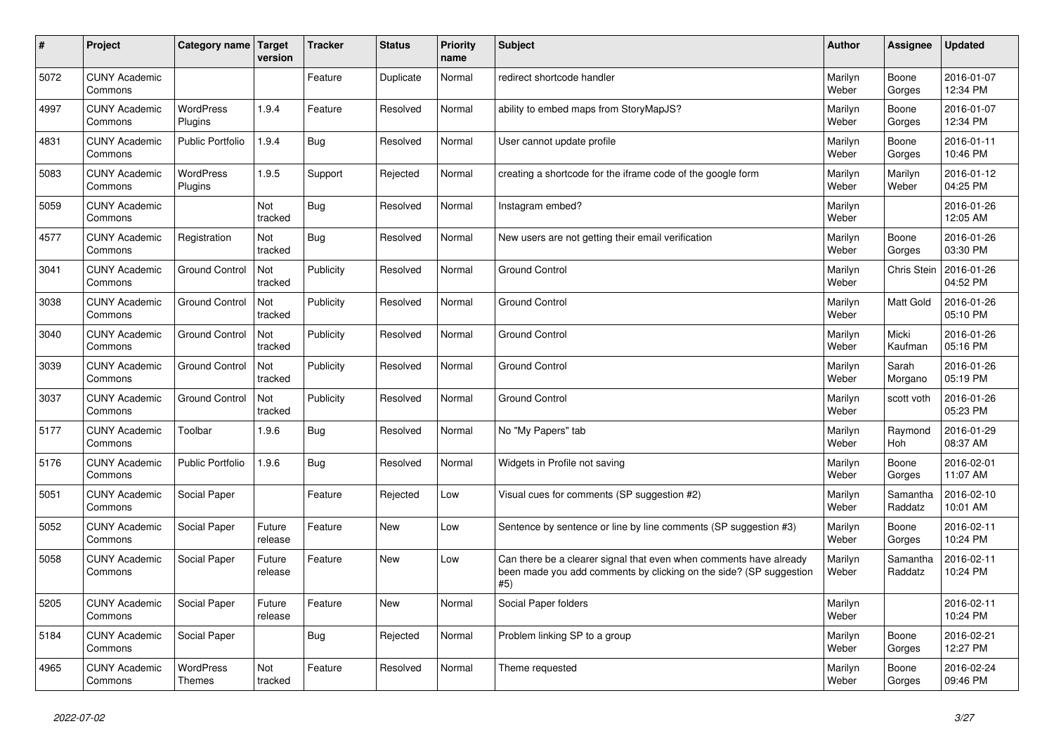| $\vert$ # | <b>Project</b>                  | Category name                     | <b>Target</b><br>version | <b>Tracker</b> | <b>Status</b> | <b>Priority</b><br>name | <b>Subject</b>                                                                                                                                  | <b>Author</b>    | Assignee            | <b>Updated</b>         |
|-----------|---------------------------------|-----------------------------------|--------------------------|----------------|---------------|-------------------------|-------------------------------------------------------------------------------------------------------------------------------------------------|------------------|---------------------|------------------------|
| 5072      | <b>CUNY Academic</b><br>Commons |                                   |                          | Feature        | Duplicate     | Normal                  | redirect shortcode handler                                                                                                                      | Marilyn<br>Weber | Boone<br>Gorges     | 2016-01-07<br>12:34 PM |
| 4997      | <b>CUNY Academic</b><br>Commons | <b>WordPress</b><br>Plugins       | 1.9.4                    | Feature        | Resolved      | Normal                  | ability to embed maps from StoryMapJS?                                                                                                          | Marilyn<br>Weber | Boone<br>Gorges     | 2016-01-07<br>12:34 PM |
| 4831      | <b>CUNY Academic</b><br>Commons | <b>Public Portfolio</b>           | 1.9.4                    | <b>Bug</b>     | Resolved      | Normal                  | User cannot update profile                                                                                                                      | Marilyn<br>Weber | Boone<br>Gorges     | 2016-01-11<br>10:46 PM |
| 5083      | <b>CUNY Academic</b><br>Commons | <b>WordPress</b><br>Plugins       | 1.9.5                    | Support        | Rejected      | Normal                  | creating a shortcode for the iframe code of the google form                                                                                     | Marilyn<br>Weber | Marilyn<br>Weber    | 2016-01-12<br>04:25 PM |
| 5059      | <b>CUNY Academic</b><br>Commons |                                   | Not<br>tracked           | <b>Bug</b>     | Resolved      | Normal                  | Instagram embed?                                                                                                                                | Marilyn<br>Weber |                     | 2016-01-26<br>12:05 AM |
| 4577      | <b>CUNY Academic</b><br>Commons | Registration                      | Not<br>tracked           | <b>Bug</b>     | Resolved      | Normal                  | New users are not getting their email verification                                                                                              | Marilyn<br>Weber | Boone<br>Gorges     | 2016-01-26<br>03:30 PM |
| 3041      | <b>CUNY Academic</b><br>Commons | <b>Ground Control</b>             | Not<br>tracked           | Publicity      | Resolved      | Normal                  | <b>Ground Control</b>                                                                                                                           | Marilyn<br>Weber | Chris Stein         | 2016-01-26<br>04:52 PM |
| 3038      | <b>CUNY Academic</b><br>Commons | <b>Ground Control</b>             | Not<br>tracked           | Publicity      | Resolved      | Normal                  | <b>Ground Control</b>                                                                                                                           | Marilyn<br>Weber | Matt Gold           | 2016-01-26<br>05:10 PM |
| 3040      | <b>CUNY Academic</b><br>Commons | <b>Ground Control</b>             | Not<br>tracked           | Publicity      | Resolved      | Normal                  | <b>Ground Control</b>                                                                                                                           | Marilyn<br>Weber | Micki<br>Kaufman    | 2016-01-26<br>05:16 PM |
| 3039      | <b>CUNY Academic</b><br>Commons | <b>Ground Control</b>             | Not<br>tracked           | Publicity      | Resolved      | Normal                  | <b>Ground Control</b>                                                                                                                           | Marilyn<br>Weber | Sarah<br>Morgano    | 2016-01-26<br>05:19 PM |
| 3037      | <b>CUNY Academic</b><br>Commons | <b>Ground Control</b>             | Not<br>tracked           | Publicity      | Resolved      | Normal                  | <b>Ground Control</b>                                                                                                                           | Marilyn<br>Weber | scott voth          | 2016-01-26<br>05:23 PM |
| 5177      | <b>CUNY Academic</b><br>Commons | Toolbar                           | 1.9.6                    | <b>Bug</b>     | Resolved      | Normal                  | No "My Papers" tab                                                                                                                              | Marilyn<br>Weber | Raymond<br>Hoh      | 2016-01-29<br>08:37 AM |
| 5176      | <b>CUNY Academic</b><br>Commons | <b>Public Portfolio</b>           | 1.9.6                    | <b>Bug</b>     | Resolved      | Normal                  | Widgets in Profile not saving                                                                                                                   | Marilyn<br>Weber | Boone<br>Gorges     | 2016-02-01<br>11:07 AM |
| 5051      | <b>CUNY Academic</b><br>Commons | Social Paper                      |                          | Feature        | Rejected      | Low                     | Visual cues for comments (SP suggestion #2)                                                                                                     | Marilyn<br>Weber | Samantha<br>Raddatz | 2016-02-10<br>10:01 AM |
| 5052      | <b>CUNY Academic</b><br>Commons | Social Paper                      | Future<br>release        | Feature        | <b>New</b>    | Low                     | Sentence by sentence or line by line comments (SP suggestion #3)                                                                                | Marilyn<br>Weber | Boone<br>Gorges     | 2016-02-11<br>10:24 PM |
| 5058      | <b>CUNY Academic</b><br>Commons | Social Paper                      | Future<br>release        | Feature        | <b>New</b>    | Low                     | Can there be a clearer signal that even when comments have already<br>been made you add comments by clicking on the side? (SP suggestion<br>#5) | Marilyn<br>Weber | Samantha<br>Raddatz | 2016-02-11<br>10:24 PM |
| 5205      | <b>CUNY Academic</b><br>Commons | Social Paper                      | Future<br>release        | Feature        | <b>New</b>    | Normal                  | Social Paper folders                                                                                                                            | Marilyn<br>Weber |                     | 2016-02-11<br>10:24 PM |
| 5184      | <b>CUNY Academic</b><br>Commons | Social Paper                      |                          | Bug            | Rejected      | Normal                  | Problem linking SP to a group                                                                                                                   | Marilyn<br>Weber | Boone<br>Gorges     | 2016-02-21<br>12:27 PM |
| 4965      | <b>CUNY Academic</b><br>Commons | <b>WordPress</b><br><b>Themes</b> | Not<br>tracked           | Feature        | Resolved      | Normal                  | Theme requested                                                                                                                                 | Marilyn<br>Weber | Boone<br>Gorges     | 2016-02-24<br>09:46 PM |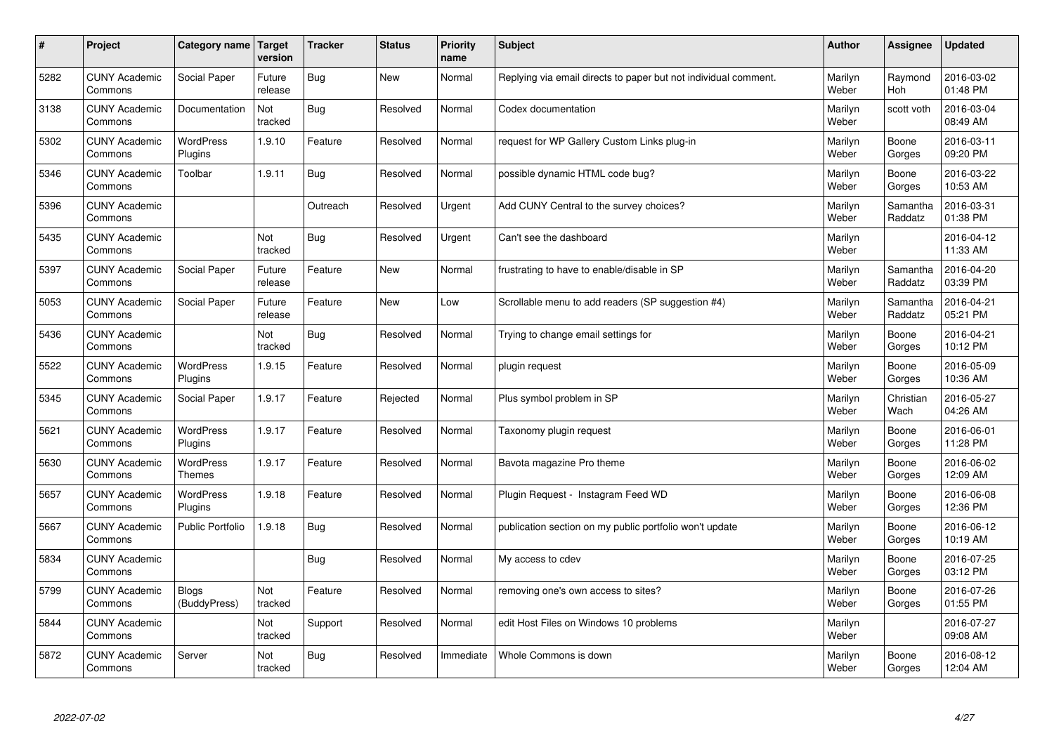| $\vert$ # | Project                         | Category name                     | <b>Target</b><br>version | <b>Tracker</b> | <b>Status</b> | <b>Priority</b><br>name | <b>Subject</b>                                                  | <b>Author</b>    | Assignee            | <b>Updated</b>         |
|-----------|---------------------------------|-----------------------------------|--------------------------|----------------|---------------|-------------------------|-----------------------------------------------------------------|------------------|---------------------|------------------------|
| 5282      | <b>CUNY Academic</b><br>Commons | Social Paper                      | Future<br>release        | <b>Bug</b>     | <b>New</b>    | Normal                  | Replying via email directs to paper but not individual comment. | Marilyn<br>Weber | Raymond<br>Hoh      | 2016-03-02<br>01:48 PM |
| 3138      | <b>CUNY Academic</b><br>Commons | Documentation                     | Not<br>tracked           | <b>Bug</b>     | Resolved      | Normal                  | Codex documentation                                             | Marilyn<br>Weber | scott voth          | 2016-03-04<br>08:49 AM |
| 5302      | <b>CUNY Academic</b><br>Commons | <b>WordPress</b><br>Plugins       | 1.9.10                   | Feature        | Resolved      | Normal                  | request for WP Gallery Custom Links plug-in                     | Marilyn<br>Weber | Boone<br>Gorges     | 2016-03-11<br>09:20 PM |
| 5346      | <b>CUNY Academic</b><br>Commons | Toolbar                           | 1.9.11                   | <b>Bug</b>     | Resolved      | Normal                  | possible dynamic HTML code bug?                                 | Marilyn<br>Weber | Boone<br>Gorges     | 2016-03-22<br>10:53 AM |
| 5396      | <b>CUNY Academic</b><br>Commons |                                   |                          | Outreach       | Resolved      | Urgent                  | Add CUNY Central to the survey choices?                         | Marilyn<br>Weber | Samantha<br>Raddatz | 2016-03-31<br>01:38 PM |
| 5435      | <b>CUNY Academic</b><br>Commons |                                   | Not<br>tracked           | <b>Bug</b>     | Resolved      | Urgent                  | Can't see the dashboard                                         | Marilyn<br>Weber |                     | 2016-04-12<br>11:33 AM |
| 5397      | <b>CUNY Academic</b><br>Commons | Social Paper                      | Future<br>release        | Feature        | <b>New</b>    | Normal                  | frustrating to have to enable/disable in SP                     | Marilyn<br>Weber | Samantha<br>Raddatz | 2016-04-20<br>03:39 PM |
| 5053      | <b>CUNY Academic</b><br>Commons | Social Paper                      | Future<br>release        | Feature        | <b>New</b>    | Low                     | Scrollable menu to add readers (SP suggestion #4)               | Marilyn<br>Weber | Samantha<br>Raddatz | 2016-04-21<br>05:21 PM |
| 5436      | <b>CUNY Academic</b><br>Commons |                                   | Not<br>tracked           | Bug            | Resolved      | Normal                  | Trying to change email settings for                             | Marilyn<br>Weber | Boone<br>Gorges     | 2016-04-21<br>10:12 PM |
| 5522      | <b>CUNY Academic</b><br>Commons | <b>WordPress</b><br>Plugins       | 1.9.15                   | Feature        | Resolved      | Normal                  | plugin request                                                  | Marilyn<br>Weber | Boone<br>Gorges     | 2016-05-09<br>10:36 AM |
| 5345      | <b>CUNY Academic</b><br>Commons | Social Paper                      | 1.9.17                   | Feature        | Rejected      | Normal                  | Plus symbol problem in SP                                       | Marilyn<br>Weber | Christian<br>Wach   | 2016-05-27<br>04:26 AM |
| 5621      | <b>CUNY Academic</b><br>Commons | WordPress<br>Plugins              | 1.9.17                   | Feature        | Resolved      | Normal                  | Taxonomy plugin request                                         | Marilyn<br>Weber | Boone<br>Gorges     | 2016-06-01<br>11:28 PM |
| 5630      | <b>CUNY Academic</b><br>Commons | <b>WordPress</b><br><b>Themes</b> | 1.9.17                   | Feature        | Resolved      | Normal                  | Bavota magazine Pro theme                                       | Marilyn<br>Weber | Boone<br>Gorges     | 2016-06-02<br>12:09 AM |
| 5657      | <b>CUNY Academic</b><br>Commons | WordPress<br>Plugins              | 1.9.18                   | Feature        | Resolved      | Normal                  | Plugin Request - Instagram Feed WD                              | Marilyn<br>Weber | Boone<br>Gorges     | 2016-06-08<br>12:36 PM |
| 5667      | <b>CUNY Academic</b><br>Commons | <b>Public Portfolio</b>           | 1.9.18                   | Bug            | Resolved      | Normal                  | publication section on my public portfolio won't update         | Marilyn<br>Weber | Boone<br>Gorges     | 2016-06-12<br>10:19 AM |
| 5834      | <b>CUNY Academic</b><br>Commons |                                   |                          | Bug            | Resolved      | Normal                  | My access to cdev                                               | Marilyn<br>Weber | Boone<br>Gorges     | 2016-07-25<br>03:12 PM |
| 5799      | <b>CUNY Academic</b><br>Commons | <b>Blogs</b><br>(BuddyPress)      | Not<br>tracked           | Feature        | Resolved      | Normal                  | removing one's own access to sites?                             | Marilyn<br>Weber | Boone<br>Gorges     | 2016-07-26<br>01:55 PM |
| 5844      | <b>CUNY Academic</b><br>Commons |                                   | Not<br>tracked           | Support        | Resolved      | Normal                  | edit Host Files on Windows 10 problems                          | Marilyn<br>Weber |                     | 2016-07-27<br>09:08 AM |
| 5872      | <b>CUNY Academic</b><br>Commons | Server                            | Not<br>tracked           | <b>Bug</b>     | Resolved      | Immediate               | Whole Commons is down                                           | Marilyn<br>Weber | Boone<br>Gorges     | 2016-08-12<br>12:04 AM |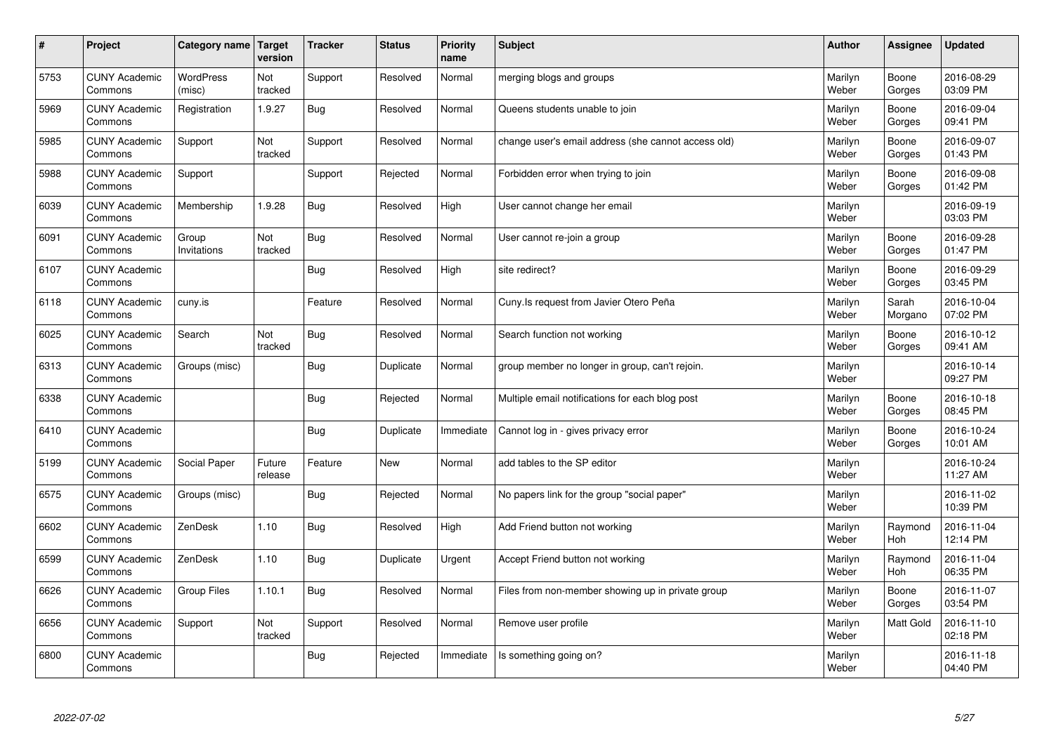| $\sharp$ | Project                         | Category name   Target     | version           | <b>Tracker</b> | <b>Status</b> | <b>Priority</b><br>name | <b>Subject</b>                                      | <b>Author</b>    | Assignee              | <b>Updated</b>         |
|----------|---------------------------------|----------------------------|-------------------|----------------|---------------|-------------------------|-----------------------------------------------------|------------------|-----------------------|------------------------|
| 5753     | <b>CUNY Academic</b><br>Commons | <b>WordPress</b><br>(misc) | Not<br>tracked    | Support        | Resolved      | Normal                  | merging blogs and groups                            | Marilyn<br>Weber | Boone<br>Gorges       | 2016-08-29<br>03:09 PM |
| 5969     | <b>CUNY Academic</b><br>Commons | Registration               | 1.9.27            | Bug            | Resolved      | Normal                  | Queens students unable to join                      | Marilyn<br>Weber | Boone<br>Gorges       | 2016-09-04<br>09:41 PM |
| 5985     | <b>CUNY Academic</b><br>Commons | Support                    | Not<br>tracked    | Support        | Resolved      | Normal                  | change user's email address (she cannot access old) | Marilyn<br>Weber | Boone<br>Gorges       | 2016-09-07<br>01:43 PM |
| 5988     | <b>CUNY Academic</b><br>Commons | Support                    |                   | Support        | Rejected      | Normal                  | Forbidden error when trying to join                 | Marilyn<br>Weber | Boone<br>Gorges       | 2016-09-08<br>01:42 PM |
| 6039     | <b>CUNY Academic</b><br>Commons | Membership                 | 1.9.28            | Bug            | Resolved      | High                    | User cannot change her email                        | Marilyn<br>Weber |                       | 2016-09-19<br>03:03 PM |
| 6091     | <b>CUNY Academic</b><br>Commons | Group<br>Invitations       | Not<br>tracked    | Bug            | Resolved      | Normal                  | User cannot re-join a group                         | Marilyn<br>Weber | Boone<br>Gorges       | 2016-09-28<br>01:47 PM |
| 6107     | <b>CUNY Academic</b><br>Commons |                            |                   | Bug            | Resolved      | High                    | site redirect?                                      | Marilyn<br>Weber | Boone<br>Gorges       | 2016-09-29<br>03:45 PM |
| 6118     | <b>CUNY Academic</b><br>Commons | cuny.is                    |                   | Feature        | Resolved      | Normal                  | Cuny.Is request from Javier Otero Peña              | Marilyn<br>Weber | Sarah<br>Morgano      | 2016-10-04<br>07:02 PM |
| 6025     | <b>CUNY Academic</b><br>Commons | Search                     | Not<br>tracked    | Bug            | Resolved      | Normal                  | Search function not working                         | Marilyn<br>Weber | Boone<br>Gorges       | 2016-10-12<br>09:41 AM |
| 6313     | <b>CUNY Academic</b><br>Commons | Groups (misc)              |                   | Bug            | Duplicate     | Normal                  | group member no longer in group, can't rejoin.      | Marilyn<br>Weber |                       | 2016-10-14<br>09:27 PM |
| 6338     | <b>CUNY Academic</b><br>Commons |                            |                   | <b>Bug</b>     | Rejected      | Normal                  | Multiple email notifications for each blog post     | Marilyn<br>Weber | Boone<br>Gorges       | 2016-10-18<br>08:45 PM |
| 6410     | <b>CUNY Academic</b><br>Commons |                            |                   | <b>Bug</b>     | Duplicate     | Immediate               | Cannot log in - gives privacy error                 | Marilyn<br>Weber | Boone<br>Gorges       | 2016-10-24<br>10:01 AM |
| 5199     | <b>CUNY Academic</b><br>Commons | Social Paper               | Future<br>release | Feature        | <b>New</b>    | Normal                  | add tables to the SP editor                         | Marilyn<br>Weber |                       | 2016-10-24<br>11:27 AM |
| 6575     | <b>CUNY Academic</b><br>Commons | Groups (misc)              |                   | Bug            | Rejected      | Normal                  | No papers link for the group "social paper"         | Marilyn<br>Weber |                       | 2016-11-02<br>10:39 PM |
| 6602     | <b>CUNY Academic</b><br>Commons | ZenDesk                    | 1.10              | <b>Bug</b>     | Resolved      | High                    | Add Friend button not working                       | Marilyn<br>Weber | Raymond<br>Hoh        | 2016-11-04<br>12:14 PM |
| 6599     | <b>CUNY Academic</b><br>Commons | ZenDesk                    | 1.10              | Bug            | Duplicate     | Urgent                  | Accept Friend button not working                    | Marilyn<br>Weber | Raymond<br><b>Hoh</b> | 2016-11-04<br>06:35 PM |
| 6626     | <b>CUNY Academic</b><br>Commons | Group Files                | 1.10.1            | Bug            | Resolved      | Normal                  | Files from non-member showing up in private group   | Marilyn<br>Weber | Boone<br>Gorges       | 2016-11-07<br>03:54 PM |
| 6656     | <b>CUNY Academic</b><br>Commons | Support                    | Not<br>tracked    | Support        | Resolved      | Normal                  | Remove user profile                                 | Marilyn<br>Weber | <b>Matt Gold</b>      | 2016-11-10<br>02:18 PM |
| 6800     | <b>CUNY Academic</b><br>Commons |                            |                   | Bug            | Rejected      | Immediate               | Is something going on?                              | Marilyn<br>Weber |                       | 2016-11-18<br>04:40 PM |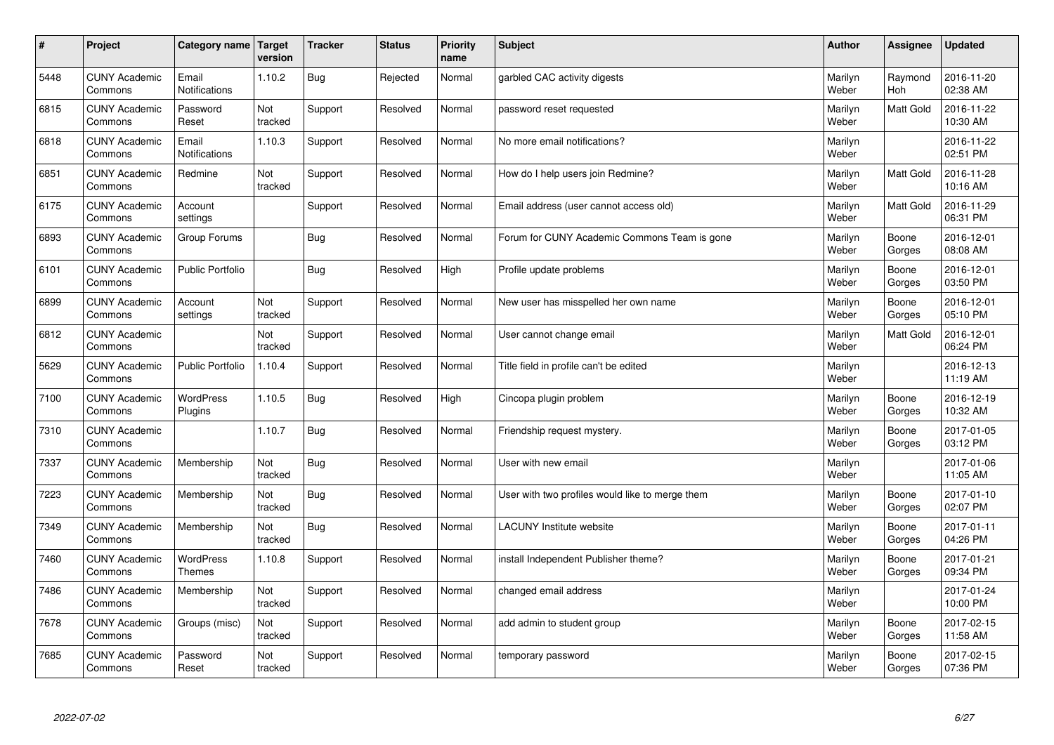| $\sharp$ | Project                         | Category name                     | Target<br>version | <b>Tracker</b> | <b>Status</b> | <b>Priority</b><br>name | <b>Subject</b>                                  | <b>Author</b>    | Assignee              | <b>Updated</b>         |
|----------|---------------------------------|-----------------------------------|-------------------|----------------|---------------|-------------------------|-------------------------------------------------|------------------|-----------------------|------------------------|
| 5448     | <b>CUNY Academic</b><br>Commons | Email<br><b>Notifications</b>     | 1.10.2            | Bug            | Rejected      | Normal                  | garbled CAC activity digests                    | Marilyn<br>Weber | Raymond<br><b>Hoh</b> | 2016-11-20<br>02:38 AM |
| 6815     | <b>CUNY Academic</b><br>Commons | Password<br>Reset                 | Not<br>tracked    | Support        | Resolved      | Normal                  | password reset requested                        | Marilyn<br>Weber | <b>Matt Gold</b>      | 2016-11-22<br>10:30 AM |
| 6818     | <b>CUNY Academic</b><br>Commons | Email<br>Notifications            | 1.10.3            | Support        | Resolved      | Normal                  | No more email notifications?                    | Marilyn<br>Weber |                       | 2016-11-22<br>02:51 PM |
| 6851     | <b>CUNY Academic</b><br>Commons | Redmine                           | Not<br>tracked    | Support        | Resolved      | Normal                  | How do I help users join Redmine?               | Marilyn<br>Weber | Matt Gold             | 2016-11-28<br>10:16 AM |
| 6175     | <b>CUNY Academic</b><br>Commons | Account<br>settings               |                   | Support        | Resolved      | Normal                  | Email address (user cannot access old)          | Marilyn<br>Weber | Matt Gold             | 2016-11-29<br>06:31 PM |
| 6893     | <b>CUNY Academic</b><br>Commons | Group Forums                      |                   | Bug            | Resolved      | Normal                  | Forum for CUNY Academic Commons Team is gone    | Marilyn<br>Weber | Boone<br>Gorges       | 2016-12-01<br>08:08 AM |
| 6101     | <b>CUNY Academic</b><br>Commons | <b>Public Portfolio</b>           |                   | Bug            | Resolved      | High                    | Profile update problems                         | Marilyn<br>Weber | Boone<br>Gorges       | 2016-12-01<br>03:50 PM |
| 6899     | <b>CUNY Academic</b><br>Commons | Account<br>settings               | Not<br>tracked    | Support        | Resolved      | Normal                  | New user has misspelled her own name            | Marilyn<br>Weber | Boone<br>Gorges       | 2016-12-01<br>05:10 PM |
| 6812     | <b>CUNY Academic</b><br>Commons |                                   | Not<br>tracked    | Support        | Resolved      | Normal                  | User cannot change email                        | Marilyn<br>Weber | <b>Matt Gold</b>      | 2016-12-01<br>06:24 PM |
| 5629     | <b>CUNY Academic</b><br>Commons | <b>Public Portfolio</b>           | 1.10.4            | Support        | Resolved      | Normal                  | Title field in profile can't be edited          | Marilyn<br>Weber |                       | 2016-12-13<br>11:19 AM |
| 7100     | <b>CUNY Academic</b><br>Commons | WordPress<br>Plugins              | 1.10.5            | Bug            | Resolved      | High                    | Cincopa plugin problem                          | Marilyn<br>Weber | Boone<br>Gorges       | 2016-12-19<br>10:32 AM |
| 7310     | <b>CUNY Academic</b><br>Commons |                                   | 1.10.7            | Bug            | Resolved      | Normal                  | Friendship request mystery.                     | Marilyn<br>Weber | Boone<br>Gorges       | 2017-01-05<br>03:12 PM |
| 7337     | <b>CUNY Academic</b><br>Commons | Membership                        | Not<br>tracked    | Bug            | Resolved      | Normal                  | User with new email                             | Marilyn<br>Weber |                       | 2017-01-06<br>11:05 AM |
| 7223     | <b>CUNY Academic</b><br>Commons | Membership                        | Not<br>tracked    | Bug            | Resolved      | Normal                  | User with two profiles would like to merge them | Marilyn<br>Weber | Boone<br>Gorges       | 2017-01-10<br>02:07 PM |
| 7349     | <b>CUNY Academic</b><br>Commons | Membership                        | Not<br>tracked    | <b>Bug</b>     | Resolved      | Normal                  | <b>LACUNY Institute website</b>                 | Marilyn<br>Weber | Boone<br>Gorges       | 2017-01-11<br>04:26 PM |
| 7460     | <b>CUNY Academic</b><br>Commons | <b>WordPress</b><br><b>Themes</b> | 1.10.8            | Support        | Resolved      | Normal                  | install Independent Publisher theme?            | Marilyn<br>Weber | Boone<br>Gorges       | 2017-01-21<br>09:34 PM |
| 7486     | <b>CUNY Academic</b><br>Commons | Membership                        | Not<br>tracked    | Support        | Resolved      | Normal                  | changed email address                           | Marilyn<br>Weber |                       | 2017-01-24<br>10:00 PM |
| 7678     | <b>CUNY Academic</b><br>Commons | Groups (misc)                     | Not<br>tracked    | Support        | Resolved      | Normal                  | add admin to student group                      | Marilyn<br>Weber | Boone<br>Gorges       | 2017-02-15<br>11:58 AM |
| 7685     | <b>CUNY Academic</b><br>Commons | Password<br>Reset                 | Not<br>tracked    | Support        | Resolved      | Normal                  | temporary password                              | Marilyn<br>Weber | Boone<br>Gorges       | 2017-02-15<br>07:36 PM |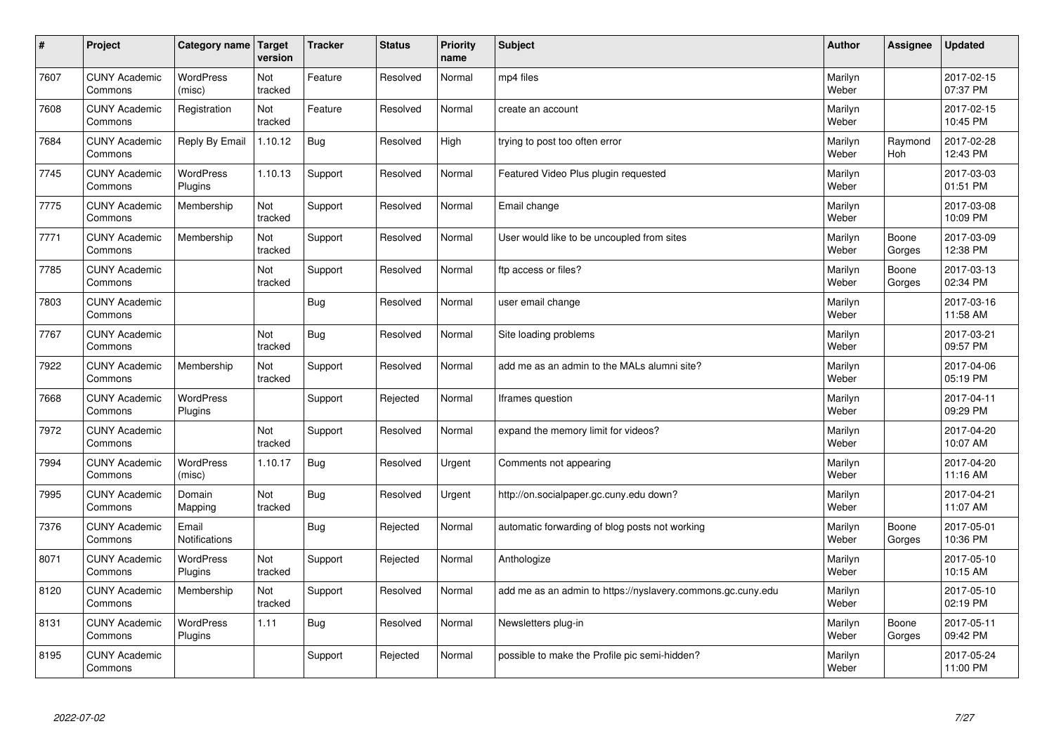| $\vert$ # | Project                         | Category name   Target      | version        | <b>Tracker</b> | <b>Status</b> | <b>Priority</b><br>name | <b>Subject</b>                                              | <b>Author</b>    | Assignee              | <b>Updated</b>         |
|-----------|---------------------------------|-----------------------------|----------------|----------------|---------------|-------------------------|-------------------------------------------------------------|------------------|-----------------------|------------------------|
| 7607      | <b>CUNY Academic</b><br>Commons | <b>WordPress</b><br>(misc)  | Not<br>tracked | Feature        | Resolved      | Normal                  | mp4 files                                                   | Marilyn<br>Weber |                       | 2017-02-15<br>07:37 PM |
| 7608      | <b>CUNY Academic</b><br>Commons | Registration                | Not<br>tracked | Feature        | Resolved      | Normal                  | create an account                                           | Marilyn<br>Weber |                       | 2017-02-15<br>10:45 PM |
| 7684      | <b>CUNY Academic</b><br>Commons | Reply By Email              | 1.10.12        | <b>Bug</b>     | Resolved      | High                    | trying to post too often error                              | Marilyn<br>Weber | Raymond<br><b>Hoh</b> | 2017-02-28<br>12:43 PM |
| 7745      | <b>CUNY Academic</b><br>Commons | <b>WordPress</b><br>Plugins | 1.10.13        | Support        | Resolved      | Normal                  | Featured Video Plus plugin requested                        | Marilyn<br>Weber |                       | 2017-03-03<br>01:51 PM |
| 7775      | <b>CUNY Academic</b><br>Commons | Membership                  | Not<br>tracked | Support        | Resolved      | Normal                  | Email change                                                | Marilyn<br>Weber |                       | 2017-03-08<br>10:09 PM |
| 7771      | <b>CUNY Academic</b><br>Commons | Membership                  | Not<br>tracked | Support        | Resolved      | Normal                  | User would like to be uncoupled from sites                  | Marilyn<br>Weber | Boone<br>Gorges       | 2017-03-09<br>12:38 PM |
| 7785      | <b>CUNY Academic</b><br>Commons |                             | Not<br>tracked | Support        | Resolved      | Normal                  | ftp access or files?                                        | Marilyn<br>Weber | Boone<br>Gorges       | 2017-03-13<br>02:34 PM |
| 7803      | <b>CUNY Academic</b><br>Commons |                             |                | <b>Bug</b>     | Resolved      | Normal                  | user email change                                           | Marilyn<br>Weber |                       | 2017-03-16<br>11:58 AM |
| 7767      | <b>CUNY Academic</b><br>Commons |                             | Not<br>tracked | <b>Bug</b>     | Resolved      | Normal                  | Site loading problems                                       | Marilyn<br>Weber |                       | 2017-03-21<br>09:57 PM |
| 7922      | <b>CUNY Academic</b><br>Commons | Membership                  | Not<br>tracked | Support        | Resolved      | Normal                  | add me as an admin to the MALs alumni site?                 | Marilyn<br>Weber |                       | 2017-04-06<br>05:19 PM |
| 7668      | <b>CUNY Academic</b><br>Commons | <b>WordPress</b><br>Plugins |                | Support        | Rejected      | Normal                  | Iframes question                                            | Marilyn<br>Weber |                       | 2017-04-11<br>09:29 PM |
| 7972      | <b>CUNY Academic</b><br>Commons |                             | Not<br>tracked | Support        | Resolved      | Normal                  | expand the memory limit for videos?                         | Marilyn<br>Weber |                       | 2017-04-20<br>10:07 AM |
| 7994      | <b>CUNY Academic</b><br>Commons | <b>WordPress</b><br>(misc)  | 1.10.17        | <b>Bug</b>     | Resolved      | Urgent                  | Comments not appearing                                      | Marilyn<br>Weber |                       | 2017-04-20<br>11:16 AM |
| 7995      | <b>CUNY Academic</b><br>Commons | Domain<br>Mapping           | Not<br>tracked | <b>Bug</b>     | Resolved      | Urgent                  | http://on.socialpaper.gc.cuny.edu down?                     | Marilyn<br>Weber |                       | 2017-04-21<br>11:07 AM |
| 7376      | <b>CUNY Academic</b><br>Commons | Email<br>Notifications      |                | <b>Bug</b>     | Rejected      | Normal                  | automatic forwarding of blog posts not working              | Marilyn<br>Weber | Boone<br>Gorges       | 2017-05-01<br>10:36 PM |
| 8071      | <b>CUNY Academic</b><br>Commons | <b>WordPress</b><br>Plugins | Not<br>tracked | Support        | Rejected      | Normal                  | Anthologize                                                 | Marilyn<br>Weber |                       | 2017-05-10<br>10:15 AM |
| 8120      | <b>CUNY Academic</b><br>Commons | Membership                  | Not<br>tracked | Support        | Resolved      | Normal                  | add me as an admin to https://nyslavery.commons.gc.cuny.edu | Marilyn<br>Weber |                       | 2017-05-10<br>02:19 PM |
| 8131      | <b>CUNY Academic</b><br>Commons | WordPress<br>Plugins        | 1.11           | Bug            | Resolved      | Normal                  | Newsletters plug-in                                         | Marilyn<br>Weber | Boone<br>Gorges       | 2017-05-11<br>09:42 PM |
| 8195      | <b>CUNY Academic</b><br>Commons |                             |                | Support        | Rejected      | Normal                  | possible to make the Profile pic semi-hidden?               | Marilyn<br>Weber |                       | 2017-05-24<br>11:00 PM |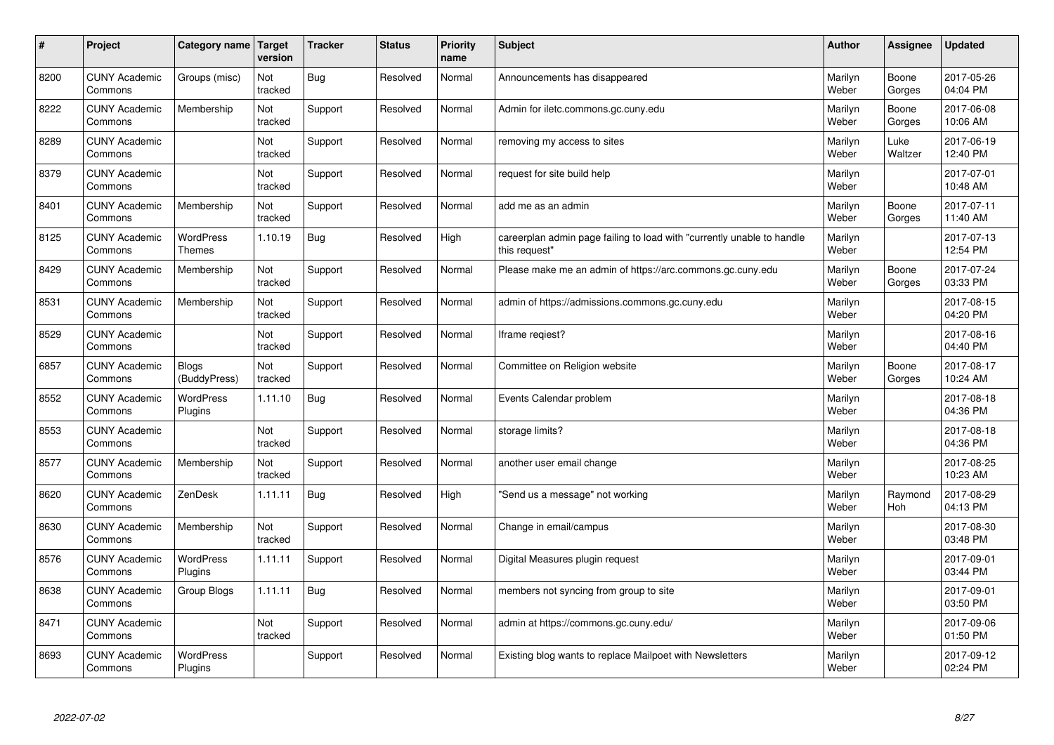| $\#$ | Project                         | Category name   Target            | version        | <b>Tracker</b> | <b>Status</b> | <b>Priority</b><br>name | <b>Subject</b>                                                                          | <b>Author</b>    | <b>Assignee</b> | <b>Updated</b>         |
|------|---------------------------------|-----------------------------------|----------------|----------------|---------------|-------------------------|-----------------------------------------------------------------------------------------|------------------|-----------------|------------------------|
| 8200 | <b>CUNY Academic</b><br>Commons | Groups (misc)                     | Not<br>tracked | Bug            | Resolved      | Normal                  | Announcements has disappeared                                                           | Marilyn<br>Weber | Boone<br>Gorges | 2017-05-26<br>04:04 PM |
| 8222 | <b>CUNY Academic</b><br>Commons | Membership                        | Not<br>tracked | Support        | Resolved      | Normal                  | Admin for iletc.commons.gc.cuny.edu                                                     | Marilyn<br>Weber | Boone<br>Gorges | 2017-06-08<br>10:06 AM |
| 8289 | <b>CUNY Academic</b><br>Commons |                                   | Not<br>tracked | Support        | Resolved      | Normal                  | removing my access to sites                                                             | Marilyn<br>Weber | Luke<br>Waltzer | 2017-06-19<br>12:40 PM |
| 8379 | <b>CUNY Academic</b><br>Commons |                                   | Not<br>tracked | Support        | Resolved      | Normal                  | request for site build help                                                             | Marilyn<br>Weber |                 | 2017-07-01<br>10:48 AM |
| 8401 | <b>CUNY Academic</b><br>Commons | Membership                        | Not<br>tracked | Support        | Resolved      | Normal                  | add me as an admin                                                                      | Marilyn<br>Weber | Boone<br>Gorges | 2017-07-11<br>11:40 AM |
| 8125 | <b>CUNY Academic</b><br>Commons | <b>WordPress</b><br><b>Themes</b> | 1.10.19        | Bug            | Resolved      | High                    | careerplan admin page failing to load with "currently unable to handle<br>this request" | Marilyn<br>Weber |                 | 2017-07-13<br>12:54 PM |
| 8429 | <b>CUNY Academic</b><br>Commons | Membership                        | Not<br>tracked | Support        | Resolved      | Normal                  | Please make me an admin of https://arc.commons.gc.cuny.edu                              | Marilyn<br>Weber | Boone<br>Gorges | 2017-07-24<br>03:33 PM |
| 8531 | <b>CUNY Academic</b><br>Commons | Membership                        | Not<br>tracked | Support        | Resolved      | Normal                  | admin of https://admissions.commons.gc.cuny.edu                                         | Marilyn<br>Weber |                 | 2017-08-15<br>04:20 PM |
| 8529 | <b>CUNY Academic</b><br>Commons |                                   | Not<br>tracked | Support        | Resolved      | Normal                  | Iframe regiest?                                                                         | Marilyn<br>Weber |                 | 2017-08-16<br>04:40 PM |
| 6857 | <b>CUNY Academic</b><br>Commons | <b>Blogs</b><br>(BuddyPress)      | Not<br>tracked | Support        | Resolved      | Normal                  | Committee on Religion website                                                           | Marilyn<br>Weber | Boone<br>Gorges | 2017-08-17<br>10:24 AM |
| 8552 | <b>CUNY Academic</b><br>Commons | <b>WordPress</b><br>Plugins       | 1.11.10        | Bug            | Resolved      | Normal                  | Events Calendar problem                                                                 | Marilyn<br>Weber |                 | 2017-08-18<br>04:36 PM |
| 8553 | <b>CUNY Academic</b><br>Commons |                                   | Not<br>tracked | Support        | Resolved      | Normal                  | storage limits?                                                                         | Marilyn<br>Weber |                 | 2017-08-18<br>04:36 PM |
| 8577 | <b>CUNY Academic</b><br>Commons | Membership                        | Not<br>tracked | Support        | Resolved      | Normal                  | another user email change                                                               | Marilyn<br>Weber |                 | 2017-08-25<br>10:23 AM |
| 8620 | <b>CUNY Academic</b><br>Commons | ZenDesk                           | 1.11.11        | Bug            | Resolved      | High                    | 'Send us a message" not working                                                         | Marilyn<br>Weber | Raymond<br>Hoh  | 2017-08-29<br>04:13 PM |
| 8630 | <b>CUNY Academic</b><br>Commons | Membership                        | Not<br>tracked | Support        | Resolved      | Normal                  | Change in email/campus                                                                  | Marilyn<br>Weber |                 | 2017-08-30<br>03:48 PM |
| 8576 | <b>CUNY Academic</b><br>Commons | WordPress<br>Plugins              | 1.11.11        | Support        | Resolved      | Normal                  | Digital Measures plugin request                                                         | Marilyn<br>Weber |                 | 2017-09-01<br>03:44 PM |
| 8638 | <b>CUNY Academic</b><br>Commons | Group Blogs                       | 1.11.11        | Bug            | Resolved      | Normal                  | members not syncing from group to site                                                  | Marilyn<br>Weber |                 | 2017-09-01<br>03:50 PM |
| 8471 | <b>CUNY Academic</b><br>Commons |                                   | Not<br>tracked | Support        | Resolved      | Normal                  | admin at https://commons.gc.cuny.edu/                                                   | Marilyn<br>Weber |                 | 2017-09-06<br>01:50 PM |
| 8693 | <b>CUNY Academic</b><br>Commons | <b>WordPress</b><br>Plugins       |                | Support        | Resolved      | Normal                  | Existing blog wants to replace Mailpoet with Newsletters                                | Marilyn<br>Weber |                 | 2017-09-12<br>02:24 PM |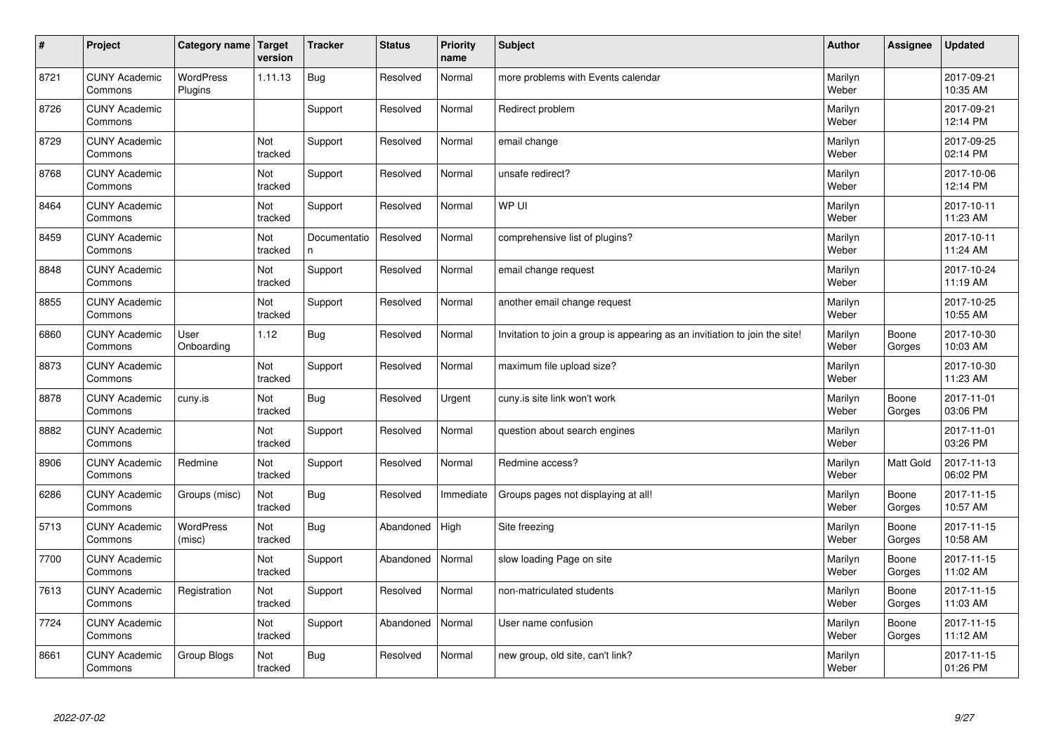| #    | Project                         | Category name   Target      | version        | <b>Tracker</b>     | <b>Status</b> | <b>Priority</b><br>name | <b>Subject</b>                                                              | <b>Author</b>    | Assignee         | <b>Updated</b>         |
|------|---------------------------------|-----------------------------|----------------|--------------------|---------------|-------------------------|-----------------------------------------------------------------------------|------------------|------------------|------------------------|
| 8721 | <b>CUNY Academic</b><br>Commons | <b>WordPress</b><br>Plugins | 1.11.13        | <b>Bug</b>         | Resolved      | Normal                  | more problems with Events calendar                                          | Marilyn<br>Weber |                  | 2017-09-21<br>10:35 AM |
| 8726 | <b>CUNY Academic</b><br>Commons |                             |                | Support            | Resolved      | Normal                  | Redirect problem                                                            | Marilyn<br>Weber |                  | 2017-09-21<br>12:14 PM |
| 8729 | <b>CUNY Academic</b><br>Commons |                             | Not<br>tracked | Support            | Resolved      | Normal                  | email change                                                                | Marilyn<br>Weber |                  | 2017-09-25<br>02:14 PM |
| 8768 | <b>CUNY Academic</b><br>Commons |                             | Not<br>tracked | Support            | Resolved      | Normal                  | unsafe redirect?                                                            | Marilyn<br>Weber |                  | 2017-10-06<br>12:14 PM |
| 8464 | <b>CUNY Academic</b><br>Commons |                             | Not<br>tracked | Support            | Resolved      | Normal                  | WP UI                                                                       | Marilyn<br>Weber |                  | 2017-10-11<br>11:23 AM |
| 8459 | <b>CUNY Academic</b><br>Commons |                             | Not<br>tracked | Documentatio<br>n. | Resolved      | Normal                  | comprehensive list of plugins?                                              | Marilyn<br>Weber |                  | 2017-10-11<br>11:24 AM |
| 8848 | <b>CUNY Academic</b><br>Commons |                             | Not<br>tracked | Support            | Resolved      | Normal                  | email change request                                                        | Marilyn<br>Weber |                  | 2017-10-24<br>11:19 AM |
| 8855 | <b>CUNY Academic</b><br>Commons |                             | Not<br>tracked | Support            | Resolved      | Normal                  | another email change request                                                | Marilyn<br>Weber |                  | 2017-10-25<br>10:55 AM |
| 6860 | <b>CUNY Academic</b><br>Commons | User<br>Onboarding          | 1.12           | Bug                | Resolved      | Normal                  | Invitation to join a group is appearing as an invitiation to join the site! | Marilyn<br>Weber | Boone<br>Gorges  | 2017-10-30<br>10:03 AM |
| 8873 | <b>CUNY Academic</b><br>Commons |                             | Not<br>tracked | Support            | Resolved      | Normal                  | maximum file upload size?                                                   | Marilyn<br>Weber |                  | 2017-10-30<br>11:23 AM |
| 8878 | <b>CUNY Academic</b><br>Commons | cuny.is                     | Not<br>tracked | <b>Bug</b>         | Resolved      | Urgent                  | cuny.is site link won't work                                                | Marilyn<br>Weber | Boone<br>Gorges  | 2017-11-01<br>03:06 PM |
| 8882 | <b>CUNY Academic</b><br>Commons |                             | Not<br>tracked | Support            | Resolved      | Normal                  | question about search engines                                               | Marilyn<br>Weber |                  | 2017-11-01<br>03:26 PM |
| 8906 | <b>CUNY Academic</b><br>Commons | Redmine                     | Not<br>tracked | Support            | Resolved      | Normal                  | Redmine access?                                                             | Marilyn<br>Weber | <b>Matt Gold</b> | 2017-11-13<br>06:02 PM |
| 6286 | <b>CUNY Academic</b><br>Commons | Groups (misc)               | Not<br>tracked | <b>Bug</b>         | Resolved      | Immediate               | Groups pages not displaying at all!                                         | Marilyn<br>Weber | Boone<br>Gorges  | 2017-11-15<br>10:57 AM |
| 5713 | <b>CUNY Academic</b><br>Commons | WordPress<br>(misc)         | Not<br>tracked | <b>Bug</b>         | Abandoned     | High                    | Site freezing                                                               | Marilyn<br>Weber | Boone<br>Gorges  | 2017-11-15<br>10:58 AM |
| 7700 | <b>CUNY Academic</b><br>Commons |                             | Not<br>tracked | Support            | Abandoned     | Normal                  | slow loading Page on site                                                   | Marilyn<br>Weber | Boone<br>Gorges  | 2017-11-15<br>11:02 AM |
| 7613 | <b>CUNY Academic</b><br>Commons | Registration                | Not<br>tracked | Support            | Resolved      | Normal                  | non-matriculated students                                                   | Marilyn<br>Weber | Boone<br>Gorges  | 2017-11-15<br>11:03 AM |
| 7724 | <b>CUNY Academic</b><br>Commons |                             | Not<br>tracked | Support            | Abandoned     | Normal                  | User name confusion                                                         | Marilyn<br>Weber | Boone<br>Gorges  | 2017-11-15<br>11:12 AM |
| 8661 | <b>CUNY Academic</b><br>Commons | Group Blogs                 | Not<br>tracked | Bug                | Resolved      | Normal                  | new group, old site, can't link?                                            | Marilyn<br>Weber |                  | 2017-11-15<br>01:26 PM |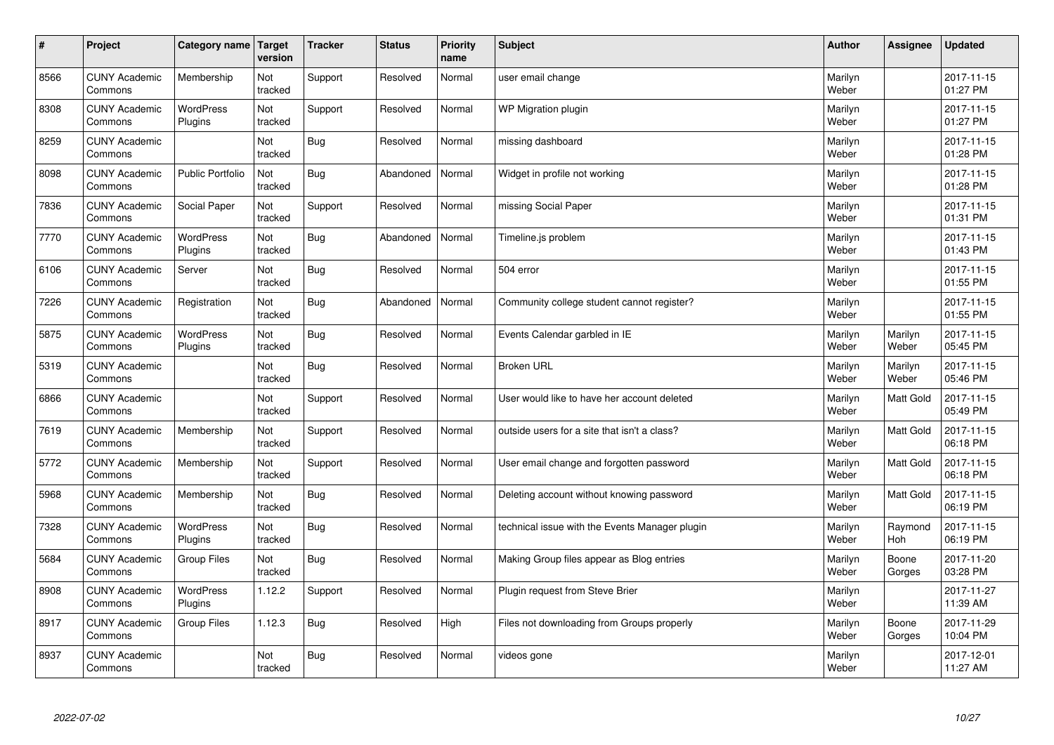| $\sharp$ | Project                         | Category name               | Target<br>version | <b>Tracker</b> | <b>Status</b> | <b>Priority</b><br>name | <b>Subject</b>                                 | <b>Author</b>    | Assignee              | <b>Updated</b>         |
|----------|---------------------------------|-----------------------------|-------------------|----------------|---------------|-------------------------|------------------------------------------------|------------------|-----------------------|------------------------|
| 8566     | <b>CUNY Academic</b><br>Commons | Membership                  | Not<br>tracked    | Support        | Resolved      | Normal                  | user email change                              | Marilyn<br>Weber |                       | 2017-11-15<br>01:27 PM |
| 8308     | <b>CUNY Academic</b><br>Commons | <b>WordPress</b><br>Plugins | Not<br>tracked    | Support        | Resolved      | Normal                  | WP Migration plugin                            | Marilyn<br>Weber |                       | 2017-11-15<br>01:27 PM |
| 8259     | <b>CUNY Academic</b><br>Commons |                             | Not<br>tracked    | Bug            | Resolved      | Normal                  | missing dashboard                              | Marilyn<br>Weber |                       | 2017-11-15<br>01:28 PM |
| 8098     | <b>CUNY Academic</b><br>Commons | <b>Public Portfolio</b>     | Not<br>tracked    | Bug            | Abandoned     | Normal                  | Widget in profile not working                  | Marilyn<br>Weber |                       | 2017-11-15<br>01:28 PM |
| 7836     | <b>CUNY Academic</b><br>Commons | Social Paper                | Not<br>tracked    | Support        | Resolved      | Normal                  | missing Social Paper                           | Marilyn<br>Weber |                       | 2017-11-15<br>01:31 PM |
| 7770     | <b>CUNY Academic</b><br>Commons | <b>WordPress</b><br>Plugins | Not<br>tracked    | <b>Bug</b>     | Abandoned     | Normal                  | Timeline.js problem                            | Marilyn<br>Weber |                       | 2017-11-15<br>01:43 PM |
| 6106     | <b>CUNY Academic</b><br>Commons | Server                      | Not<br>tracked    | Bug            | Resolved      | Normal                  | 504 error                                      | Marilyn<br>Weber |                       | 2017-11-15<br>01:55 PM |
| 7226     | <b>CUNY Academic</b><br>Commons | Registration                | Not<br>tracked    | Bug            | Abandoned     | Normal                  | Community college student cannot register?     | Marilyn<br>Weber |                       | 2017-11-15<br>01:55 PM |
| 5875     | <b>CUNY Academic</b><br>Commons | <b>WordPress</b><br>Plugins | Not<br>tracked    | Bug            | Resolved      | Normal                  | Events Calendar garbled in IE                  | Marilyn<br>Weber | Marilyn<br>Weber      | 2017-11-15<br>05:45 PM |
| 5319     | <b>CUNY Academic</b><br>Commons |                             | Not<br>tracked    | Bug            | Resolved      | Normal                  | <b>Broken URL</b>                              | Marilyn<br>Weber | Marilyn<br>Weber      | 2017-11-15<br>05:46 PM |
| 6866     | <b>CUNY Academic</b><br>Commons |                             | Not<br>tracked    | Support        | Resolved      | Normal                  | User would like to have her account deleted    | Marilyn<br>Weber | Matt Gold             | 2017-11-15<br>05:49 PM |
| 7619     | <b>CUNY Academic</b><br>Commons | Membership                  | Not<br>tracked    | Support        | Resolved      | Normal                  | outside users for a site that isn't a class?   | Marilyn<br>Weber | Matt Gold             | 2017-11-15<br>06:18 PM |
| 5772     | <b>CUNY Academic</b><br>Commons | Membership                  | Not<br>tracked    | Support        | Resolved      | Normal                  | User email change and forgotten password       | Marilyn<br>Weber | <b>Matt Gold</b>      | 2017-11-15<br>06:18 PM |
| 5968     | <b>CUNY Academic</b><br>Commons | Membership                  | Not<br>tracked    | Bug            | Resolved      | Normal                  | Deleting account without knowing password      | Marilyn<br>Weber | <b>Matt Gold</b>      | 2017-11-15<br>06:19 PM |
| 7328     | <b>CUNY Academic</b><br>Commons | <b>WordPress</b><br>Plugins | Not<br>tracked    | Bug            | Resolved      | Normal                  | technical issue with the Events Manager plugin | Marilyn<br>Weber | Raymond<br><b>Hoh</b> | 2017-11-15<br>06:19 PM |
| 5684     | <b>CUNY Academic</b><br>Commons | Group Files                 | Not<br>tracked    | Bug            | Resolved      | Normal                  | Making Group files appear as Blog entries      | Marilyn<br>Weber | Boone<br>Gorges       | 2017-11-20<br>03:28 PM |
| 8908     | <b>CUNY Academic</b><br>Commons | <b>WordPress</b><br>Plugins | 1.12.2            | Support        | Resolved      | Normal                  | Plugin request from Steve Brier                | Marilyn<br>Weber |                       | 2017-11-27<br>11:39 AM |
| 8917     | <b>CUNY Academic</b><br>Commons | <b>Group Files</b>          | 1.12.3            | <b>Bug</b>     | Resolved      | High                    | Files not downloading from Groups properly     | Marilyn<br>Weber | Boone<br>Gorges       | 2017-11-29<br>10:04 PM |
| 8937     | <b>CUNY Academic</b><br>Commons |                             | Not<br>tracked    | Bug            | Resolved      | Normal                  | videos gone                                    | Marilyn<br>Weber |                       | 2017-12-01<br>11:27 AM |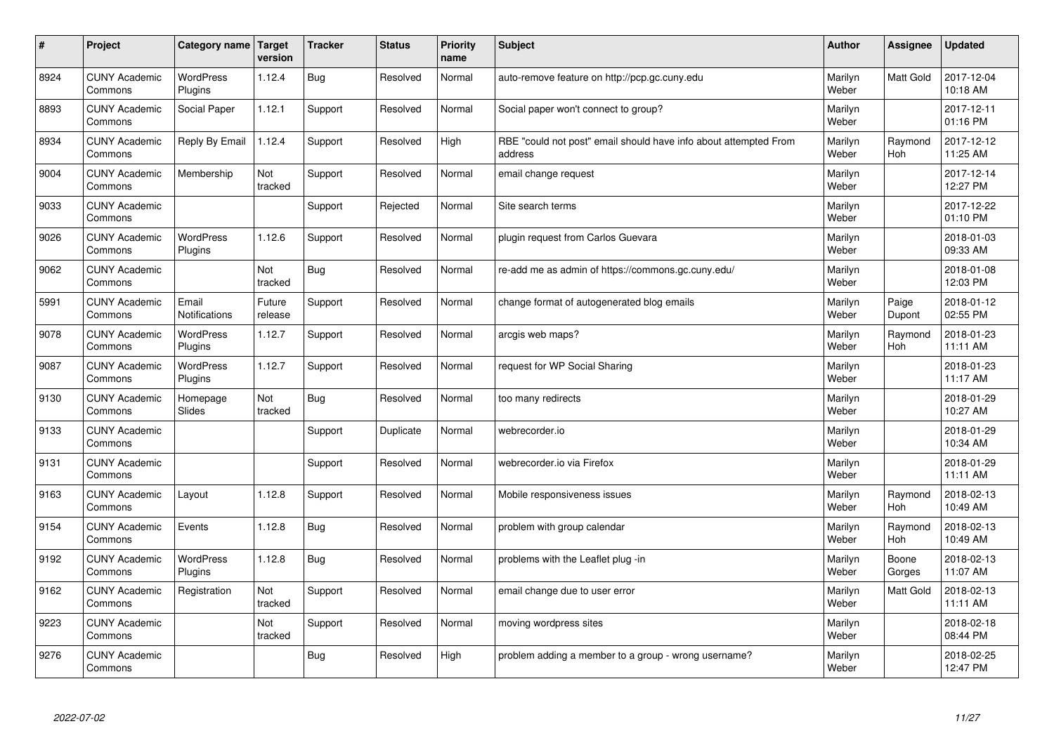| $\sharp$ | Project                         | Category name Target          | version           | <b>Tracker</b> | <b>Status</b> | <b>Priority</b><br>name | <b>Subject</b>                                                              | <b>Author</b>    | Assignee              | <b>Updated</b>         |
|----------|---------------------------------|-------------------------------|-------------------|----------------|---------------|-------------------------|-----------------------------------------------------------------------------|------------------|-----------------------|------------------------|
| 8924     | <b>CUNY Academic</b><br>Commons | <b>WordPress</b><br>Plugins   | 1.12.4            | Bug            | Resolved      | Normal                  | auto-remove feature on http://pcp.gc.cuny.edu                               | Marilyn<br>Weber | <b>Matt Gold</b>      | 2017-12-04<br>10:18 AM |
| 8893     | <b>CUNY Academic</b><br>Commons | Social Paper                  | 1.12.1            | Support        | Resolved      | Normal                  | Social paper won't connect to group?                                        | Marilyn<br>Weber |                       | 2017-12-11<br>01:16 PM |
| 8934     | <b>CUNY Academic</b><br>Commons | Reply By Email                | 1.12.4            | Support        | Resolved      | High                    | RBE "could not post" email should have info about attempted From<br>address | Marilyn<br>Weber | Raymond<br><b>Hoh</b> | 2017-12-12<br>11:25 AM |
| 9004     | <b>CUNY Academic</b><br>Commons | Membership                    | Not<br>tracked    | Support        | Resolved      | Normal                  | email change request                                                        | Marilyn<br>Weber |                       | 2017-12-14<br>12:27 PM |
| 9033     | <b>CUNY Academic</b><br>Commons |                               |                   | Support        | Rejected      | Normal                  | Site search terms                                                           | Marilyn<br>Weber |                       | 2017-12-22<br>01:10 PM |
| 9026     | <b>CUNY Academic</b><br>Commons | <b>WordPress</b><br>Plugins   | 1.12.6            | Support        | Resolved      | Normal                  | plugin request from Carlos Guevara                                          | Marilyn<br>Weber |                       | 2018-01-03<br>09:33 AM |
| 9062     | <b>CUNY Academic</b><br>Commons |                               | Not<br>tracked    | Bug            | Resolved      | Normal                  | re-add me as admin of https://commons.gc.cuny.edu/                          | Marilyn<br>Weber |                       | 2018-01-08<br>12:03 PM |
| 5991     | <b>CUNY Academic</b><br>Commons | Email<br><b>Notifications</b> | Future<br>release | Support        | Resolved      | Normal                  | change format of autogenerated blog emails                                  | Marilyn<br>Weber | Paige<br>Dupont       | 2018-01-12<br>02:55 PM |
| 9078     | <b>CUNY Academic</b><br>Commons | <b>WordPress</b><br>Plugins   | 1.12.7            | Support        | Resolved      | Normal                  | arcgis web maps?                                                            | Marilyn<br>Weber | Raymond<br><b>Hoh</b> | 2018-01-23<br>11:11 AM |
| 9087     | <b>CUNY Academic</b><br>Commons | WordPress<br>Plugins          | 1.12.7            | Support        | Resolved      | Normal                  | request for WP Social Sharing                                               | Marilyn<br>Weber |                       | 2018-01-23<br>11:17 AM |
| 9130     | <b>CUNY Academic</b><br>Commons | Homepage<br>Slides            | Not<br>tracked    | Bug            | Resolved      | Normal                  | too many redirects                                                          | Marilyn<br>Weber |                       | 2018-01-29<br>10:27 AM |
| 9133     | <b>CUNY Academic</b><br>Commons |                               |                   | Support        | Duplicate     | Normal                  | webrecorder.io                                                              | Marilyn<br>Weber |                       | 2018-01-29<br>10:34 AM |
| 9131     | <b>CUNY Academic</b><br>Commons |                               |                   | Support        | Resolved      | Normal                  | webrecorder.io via Firefox                                                  | Marilyn<br>Weber |                       | 2018-01-29<br>11:11 AM |
| 9163     | <b>CUNY Academic</b><br>Commons | Layout                        | 1.12.8            | Support        | Resolved      | Normal                  | Mobile responsiveness issues                                                | Marilyn<br>Weber | Raymond<br><b>Hoh</b> | 2018-02-13<br>10:49 AM |
| 9154     | <b>CUNY Academic</b><br>Commons | Events                        | 1.12.8            | <b>Bug</b>     | Resolved      | Normal                  | problem with group calendar                                                 | Marilyn<br>Weber | Raymond<br>Hoh        | 2018-02-13<br>10:49 AM |
| 9192     | <b>CUNY Academic</b><br>Commons | <b>WordPress</b><br>Plugins   | 1.12.8            | Bug            | Resolved      | Normal                  | problems with the Leaflet plug -in                                          | Marilyn<br>Weber | Boone<br>Gorges       | 2018-02-13<br>11:07 AM |
| 9162     | <b>CUNY Academic</b><br>Commons | Registration                  | Not<br>tracked    | Support        | Resolved      | Normal                  | email change due to user error                                              | Marilyn<br>Weber | Matt Gold             | 2018-02-13<br>11:11 AM |
| 9223     | <b>CUNY Academic</b><br>Commons |                               | Not<br>tracked    | Support        | Resolved      | Normal                  | moving wordpress sites                                                      | Marilyn<br>Weber |                       | 2018-02-18<br>08:44 PM |
| 9276     | <b>CUNY Academic</b><br>Commons |                               |                   | Bug            | Resolved      | High                    | problem adding a member to a group - wrong username?                        | Marilyn<br>Weber |                       | 2018-02-25<br>12:47 PM |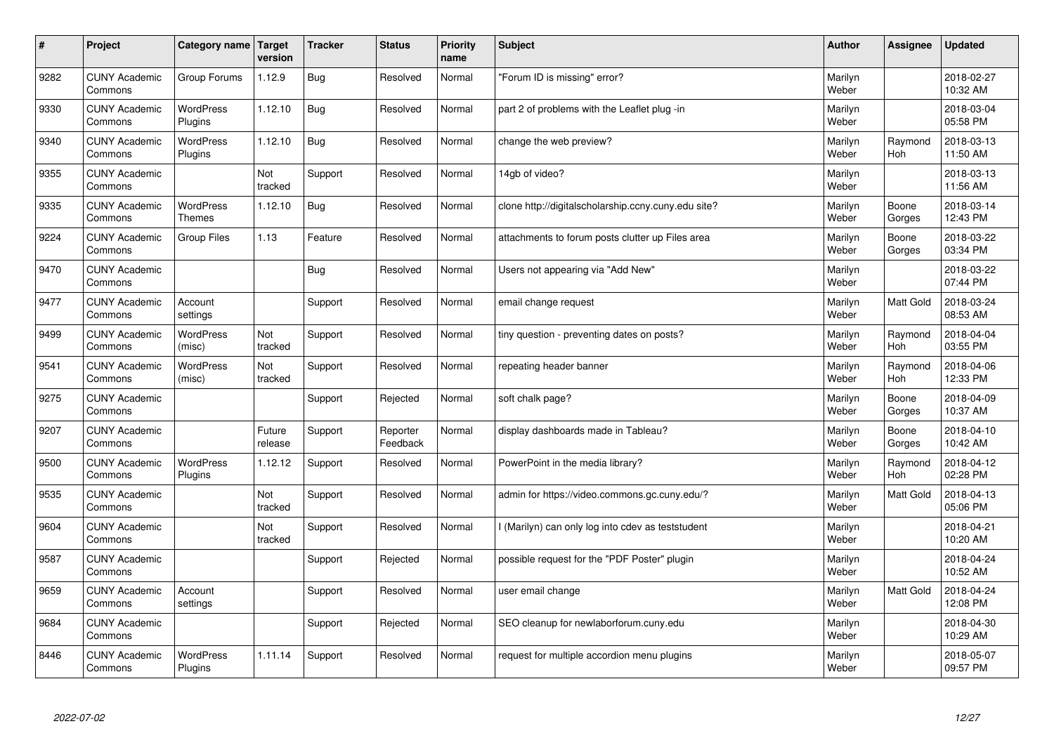| #    | Project                         | Category name                     | Target<br>version | <b>Tracker</b> | <b>Status</b>        | <b>Priority</b><br>name | <b>Subject</b>                                      | <b>Author</b>    | Assignee              | <b>Updated</b>         |
|------|---------------------------------|-----------------------------------|-------------------|----------------|----------------------|-------------------------|-----------------------------------------------------|------------------|-----------------------|------------------------|
| 9282 | <b>CUNY Academic</b><br>Commons | Group Forums                      | 1.12.9            | Bug            | Resolved             | Normal                  | 'Forum ID is missing" error?                        | Marilyn<br>Weber |                       | 2018-02-27<br>10:32 AM |
| 9330 | <b>CUNY Academic</b><br>Commons | <b>WordPress</b><br>Plugins       | 1.12.10           | Bug            | Resolved             | Normal                  | part 2 of problems with the Leaflet plug -in        | Marilyn<br>Weber |                       | 2018-03-04<br>05:58 PM |
| 9340 | <b>CUNY Academic</b><br>Commons | <b>WordPress</b><br>Plugins       | 1.12.10           | Bug            | Resolved             | Normal                  | change the web preview?                             | Marilyn<br>Weber | Raymond<br><b>Hoh</b> | 2018-03-13<br>11:50 AM |
| 9355 | <b>CUNY Academic</b><br>Commons |                                   | Not<br>tracked    | Support        | Resolved             | Normal                  | 14gb of video?                                      | Marilyn<br>Weber |                       | 2018-03-13<br>11:56 AM |
| 9335 | <b>CUNY Academic</b><br>Commons | <b>WordPress</b><br><b>Themes</b> | 1.12.10           | Bug            | Resolved             | Normal                  | clone http://digitalscholarship.ccny.cuny.edu site? | Marilyn<br>Weber | Boone<br>Gorges       | 2018-03-14<br>12:43 PM |
| 9224 | <b>CUNY Academic</b><br>Commons | <b>Group Files</b>                | 1.13              | Feature        | Resolved             | Normal                  | attachments to forum posts clutter up Files area    | Marilyn<br>Weber | Boone<br>Gorges       | 2018-03-22<br>03:34 PM |
| 9470 | <b>CUNY Academic</b><br>Commons |                                   |                   | Bug            | Resolved             | Normal                  | Users not appearing via "Add New"                   | Marilyn<br>Weber |                       | 2018-03-22<br>07:44 PM |
| 9477 | <b>CUNY Academic</b><br>Commons | Account<br>settings               |                   | Support        | Resolved             | Normal                  | email change request                                | Marilyn<br>Weber | Matt Gold             | 2018-03-24<br>08:53 AM |
| 9499 | <b>CUNY Academic</b><br>Commons | <b>WordPress</b><br>(misc)        | Not<br>tracked    | Support        | Resolved             | Normal                  | tiny question - preventing dates on posts?          | Marilyn<br>Weber | Raymond<br><b>Hoh</b> | 2018-04-04<br>03:55 PM |
| 9541 | <b>CUNY Academic</b><br>Commons | WordPress<br>(misc)               | Not<br>tracked    | Support        | Resolved             | Normal                  | repeating header banner                             | Marilyn<br>Weber | Raymond<br>Hoh        | 2018-04-06<br>12:33 PM |
| 9275 | <b>CUNY Academic</b><br>Commons |                                   |                   | Support        | Rejected             | Normal                  | soft chalk page?                                    | Marilyn<br>Weber | Boone<br>Gorges       | 2018-04-09<br>10:37 AM |
| 9207 | <b>CUNY Academic</b><br>Commons |                                   | Future<br>release | Support        | Reporter<br>Feedback | Normal                  | display dashboards made in Tableau?                 | Marilyn<br>Weber | Boone<br>Gorges       | 2018-04-10<br>10:42 AM |
| 9500 | <b>CUNY Academic</b><br>Commons | <b>WordPress</b><br>Plugins       | 1.12.12           | Support        | Resolved             | Normal                  | PowerPoint in the media library?                    | Marilyn<br>Weber | Raymond<br>Hoh        | 2018-04-12<br>02:28 PM |
| 9535 | <b>CUNY Academic</b><br>Commons |                                   | Not<br>tracked    | Support        | Resolved             | Normal                  | admin for https://video.commons.gc.cuny.edu/?       | Marilyn<br>Weber | Matt Gold             | 2018-04-13<br>05:06 PM |
| 9604 | <b>CUNY Academic</b><br>Commons |                                   | Not<br>tracked    | Support        | Resolved             | Normal                  | I (Marilyn) can only log into cdev as teststudent   | Marilyn<br>Weber |                       | 2018-04-21<br>10:20 AM |
| 9587 | <b>CUNY Academic</b><br>Commons |                                   |                   | Support        | Rejected             | Normal                  | possible request for the "PDF Poster" plugin        | Marilyn<br>Weber |                       | 2018-04-24<br>10:52 AM |
| 9659 | <b>CUNY Academic</b><br>Commons | Account<br>settings               |                   | Support        | Resolved             | Normal                  | user email change                                   | Marilyn<br>Weber | Matt Gold             | 2018-04-24<br>12:08 PM |
| 9684 | <b>CUNY Academic</b><br>Commons |                                   |                   | Support        | Rejected             | Normal                  | SEO cleanup for newlaborforum.cuny.edu              | Marilyn<br>Weber |                       | 2018-04-30<br>10:29 AM |
| 8446 | <b>CUNY Academic</b><br>Commons | <b>WordPress</b><br>Plugins       | 1.11.14           | Support        | Resolved             | Normal                  | request for multiple accordion menu plugins         | Marilyn<br>Weber |                       | 2018-05-07<br>09:57 PM |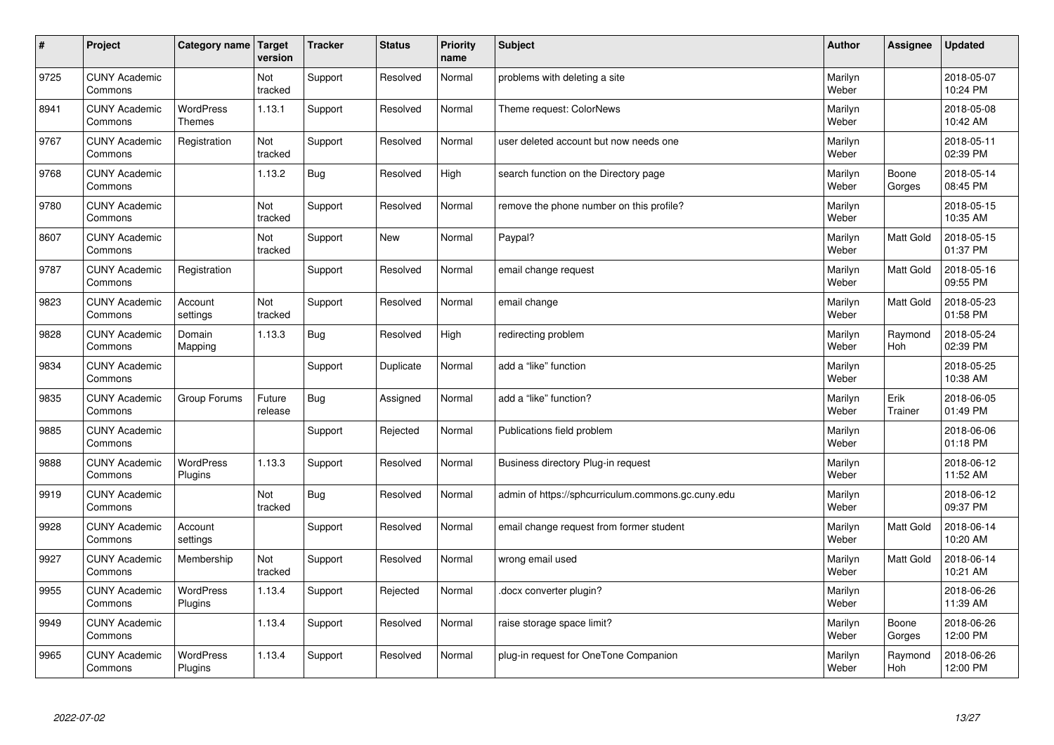| $\sharp$ | Project                         | Category name   Target            | version           | <b>Tracker</b> | <b>Status</b> | <b>Priority</b><br>name | <b>Subject</b>                                     | <b>Author</b>    | Assignee         | <b>Updated</b>         |
|----------|---------------------------------|-----------------------------------|-------------------|----------------|---------------|-------------------------|----------------------------------------------------|------------------|------------------|------------------------|
| 9725     | <b>CUNY Academic</b><br>Commons |                                   | Not<br>tracked    | Support        | Resolved      | Normal                  | problems with deleting a site                      | Marilyn<br>Weber |                  | 2018-05-07<br>10:24 PM |
| 8941     | <b>CUNY Academic</b><br>Commons | <b>WordPress</b><br><b>Themes</b> | 1.13.1            | Support        | Resolved      | Normal                  | Theme request: ColorNews                           | Marilyn<br>Weber |                  | 2018-05-08<br>10:42 AM |
| 9767     | <b>CUNY Academic</b><br>Commons | Registration                      | Not<br>tracked    | Support        | Resolved      | Normal                  | user deleted account but now needs one             | Marilyn<br>Weber |                  | 2018-05-11<br>02:39 PM |
| 9768     | <b>CUNY Academic</b><br>Commons |                                   | 1.13.2            | Bug            | Resolved      | High                    | search function on the Directory page              | Marilyn<br>Weber | Boone<br>Gorges  | 2018-05-14<br>08:45 PM |
| 9780     | <b>CUNY Academic</b><br>Commons |                                   | Not<br>tracked    | Support        | Resolved      | Normal                  | remove the phone number on this profile?           | Marilyn<br>Weber |                  | 2018-05-15<br>10:35 AM |
| 8607     | <b>CUNY Academic</b><br>Commons |                                   | Not<br>tracked    | Support        | <b>New</b>    | Normal                  | Paypal?                                            | Marilyn<br>Weber | Matt Gold        | 2018-05-15<br>01:37 PM |
| 9787     | <b>CUNY Academic</b><br>Commons | Registration                      |                   | Support        | Resolved      | Normal                  | email change request                               | Marilyn<br>Weber | Matt Gold        | 2018-05-16<br>09:55 PM |
| 9823     | <b>CUNY Academic</b><br>Commons | Account<br>settings               | Not<br>tracked    | Support        | Resolved      | Normal                  | email change                                       | Marilyn<br>Weber | Matt Gold        | 2018-05-23<br>01:58 PM |
| 9828     | <b>CUNY Academic</b><br>Commons | Domain<br>Mapping                 | 1.13.3            | <b>Bug</b>     | Resolved      | High                    | redirecting problem                                | Marilyn<br>Weber | Raymond<br>Hoh   | 2018-05-24<br>02:39 PM |
| 9834     | <b>CUNY Academic</b><br>Commons |                                   |                   | Support        | Duplicate     | Normal                  | add a "like" function                              | Marilyn<br>Weber |                  | 2018-05-25<br>10:38 AM |
| 9835     | <b>CUNY Academic</b><br>Commons | Group Forums                      | Future<br>release | Bug            | Assigned      | Normal                  | add a "like" function?                             | Marilyn<br>Weber | Erik<br>Trainer  | 2018-06-05<br>01:49 PM |
| 9885     | <b>CUNY Academic</b><br>Commons |                                   |                   | Support        | Rejected      | Normal                  | Publications field problem                         | Marilyn<br>Weber |                  | 2018-06-06<br>01:18 PM |
| 9888     | <b>CUNY Academic</b><br>Commons | <b>WordPress</b><br>Plugins       | 1.13.3            | Support        | Resolved      | Normal                  | Business directory Plug-in request                 | Marilyn<br>Weber |                  | 2018-06-12<br>11:52 AM |
| 9919     | <b>CUNY Academic</b><br>Commons |                                   | Not<br>tracked    | Bug            | Resolved      | Normal                  | admin of https://sphcurriculum.commons.gc.cuny.edu | Marilyn<br>Weber |                  | 2018-06-12<br>09:37 PM |
| 9928     | <b>CUNY Academic</b><br>Commons | Account<br>settings               |                   | Support        | Resolved      | Normal                  | email change request from former student           | Marilyn<br>Weber | <b>Matt Gold</b> | 2018-06-14<br>10:20 AM |
| 9927     | <b>CUNY Academic</b><br>Commons | Membership                        | Not<br>tracked    | Support        | Resolved      | Normal                  | wrong email used                                   | Marilyn<br>Weber | <b>Matt Gold</b> | 2018-06-14<br>10:21 AM |
| 9955     | <b>CUNY Academic</b><br>Commons | WordPress<br>Plugins              | 1.13.4            | Support        | Rejected      | Normal                  | docx converter plugin?                             | Marilyn<br>Weber |                  | 2018-06-26<br>11:39 AM |
| 9949     | <b>CUNY Academic</b><br>Commons |                                   | 1.13.4            | Support        | Resolved      | Normal                  | raise storage space limit?                         | Marilyn<br>Weber | Boone<br>Gorges  | 2018-06-26<br>12:00 PM |
| 9965     | <b>CUNY Academic</b><br>Commons | <b>WordPress</b><br>Plugins       | 1.13.4            | Support        | Resolved      | Normal                  | plug-in request for OneTone Companion              | Marilyn<br>Weber | Raymond<br>Hoh   | 2018-06-26<br>12:00 PM |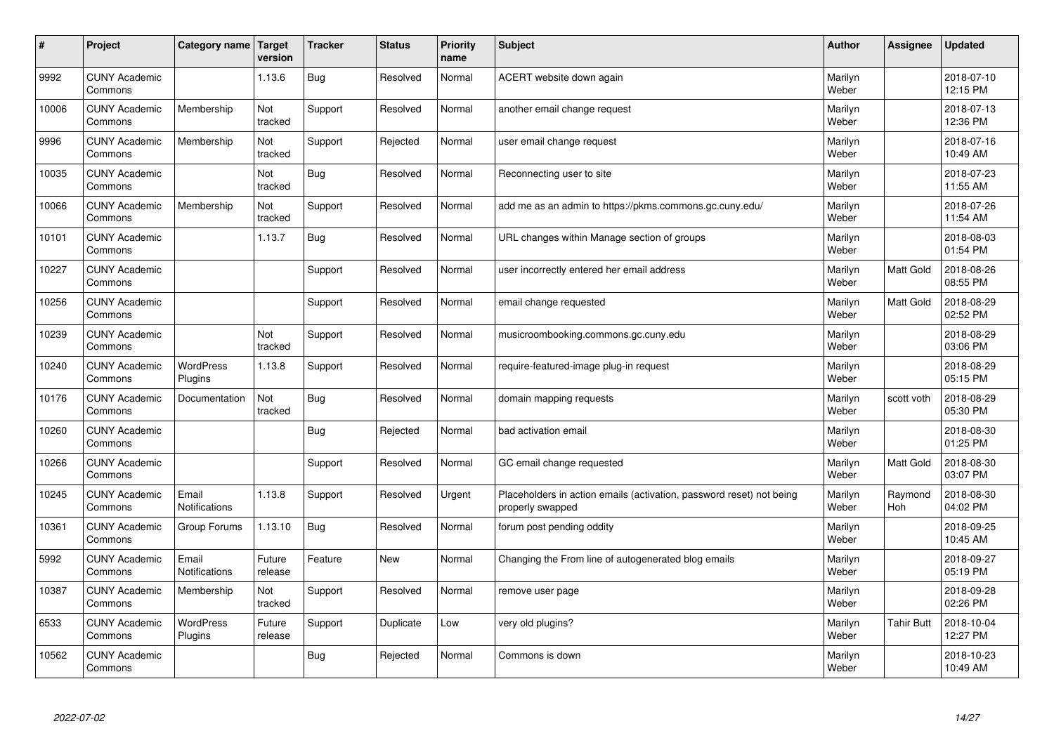| #     | Project                         | Category name                 | Target<br>version | <b>Tracker</b> | <b>Status</b> | <b>Priority</b><br>name | <b>Subject</b>                                                                           | <b>Author</b>    | Assignee          | <b>Updated</b>         |
|-------|---------------------------------|-------------------------------|-------------------|----------------|---------------|-------------------------|------------------------------------------------------------------------------------------|------------------|-------------------|------------------------|
| 9992  | <b>CUNY Academic</b><br>Commons |                               | 1.13.6            | Bug            | Resolved      | Normal                  | ACERT website down again                                                                 | Marilyn<br>Weber |                   | 2018-07-10<br>12:15 PM |
| 10006 | <b>CUNY Academic</b><br>Commons | Membership                    | Not<br>tracked    | Support        | Resolved      | Normal                  | another email change request                                                             | Marilyn<br>Weber |                   | 2018-07-13<br>12:36 PM |
| 9996  | <b>CUNY Academic</b><br>Commons | Membership                    | Not<br>tracked    | Support        | Rejected      | Normal                  | user email change request                                                                | Marilyn<br>Weber |                   | 2018-07-16<br>10:49 AM |
| 10035 | <b>CUNY Academic</b><br>Commons |                               | Not<br>tracked    | Bug            | Resolved      | Normal                  | Reconnecting user to site                                                                | Marilyn<br>Weber |                   | 2018-07-23<br>11:55 AM |
| 10066 | <b>CUNY Academic</b><br>Commons | Membership                    | Not<br>tracked    | Support        | Resolved      | Normal                  | add me as an admin to https://pkms.commons.gc.cuny.edu/                                  | Marilyn<br>Weber |                   | 2018-07-26<br>11:54 AM |
| 10101 | <b>CUNY Academic</b><br>Commons |                               | 1.13.7            | Bug            | Resolved      | Normal                  | URL changes within Manage section of groups                                              | Marilyn<br>Weber |                   | 2018-08-03<br>01:54 PM |
| 10227 | <b>CUNY Academic</b><br>Commons |                               |                   | Support        | Resolved      | Normal                  | user incorrectly entered her email address                                               | Marilyn<br>Weber | Matt Gold         | 2018-08-26<br>08:55 PM |
| 10256 | <b>CUNY Academic</b><br>Commons |                               |                   | Support        | Resolved      | Normal                  | email change requested                                                                   | Marilyn<br>Weber | Matt Gold         | 2018-08-29<br>02:52 PM |
| 10239 | <b>CUNY Academic</b><br>Commons |                               | Not<br>tracked    | Support        | Resolved      | Normal                  | musicroombooking.commons.gc.cuny.edu                                                     | Marilyn<br>Weber |                   | 2018-08-29<br>03:06 PM |
| 10240 | <b>CUNY Academic</b><br>Commons | WordPress<br>Plugins          | 1.13.8            | Support        | Resolved      | Normal                  | require-featured-image plug-in request                                                   | Marilyn<br>Weber |                   | 2018-08-29<br>05:15 PM |
| 10176 | <b>CUNY Academic</b><br>Commons | Documentation                 | Not<br>tracked    | Bug            | Resolved      | Normal                  | domain mapping requests                                                                  | Marilyn<br>Weber | scott voth        | 2018-08-29<br>05:30 PM |
| 10260 | <b>CUNY Academic</b><br>Commons |                               |                   | Bug            | Rejected      | Normal                  | bad activation email                                                                     | Marilyn<br>Weber |                   | 2018-08-30<br>01:25 PM |
| 10266 | <b>CUNY Academic</b><br>Commons |                               |                   | Support        | Resolved      | Normal                  | GC email change requested                                                                | Marilyn<br>Weber | Matt Gold         | 2018-08-30<br>03:07 PM |
| 10245 | <b>CUNY Academic</b><br>Commons | Email<br><b>Notifications</b> | 1.13.8            | Support        | Resolved      | Urgent                  | Placeholders in action emails (activation, password reset) not being<br>properly swapped | Marilyn<br>Weber | Raymond<br>Hoh    | 2018-08-30<br>04:02 PM |
| 10361 | <b>CUNY Academic</b><br>Commons | Group Forums                  | 1.13.10           | Bug            | Resolved      | Normal                  | forum post pending oddity                                                                | Marilyn<br>Weber |                   | 2018-09-25<br>10:45 AM |
| 5992  | <b>CUNY Academic</b><br>Commons | Email<br><b>Notifications</b> | Future<br>release | Feature        | <b>New</b>    | Normal                  | Changing the From line of autogenerated blog emails                                      | Marilyn<br>Weber |                   | 2018-09-27<br>05:19 PM |
| 10387 | <b>CUNY Academic</b><br>Commons | Membership                    | Not<br>tracked    | Support        | Resolved      | Normal                  | remove user page                                                                         | Marilyn<br>Weber |                   | 2018-09-28<br>02:26 PM |
| 6533  | <b>CUNY Academic</b><br>Commons | <b>WordPress</b><br>Plugins   | Future<br>release | Support        | Duplicate     | Low                     | very old plugins?                                                                        | Marilyn<br>Weber | <b>Tahir Butt</b> | 2018-10-04<br>12:27 PM |
| 10562 | <b>CUNY Academic</b><br>Commons |                               |                   | Bug            | Rejected      | Normal                  | Commons is down                                                                          | Marilyn<br>Weber |                   | 2018-10-23<br>10:49 AM |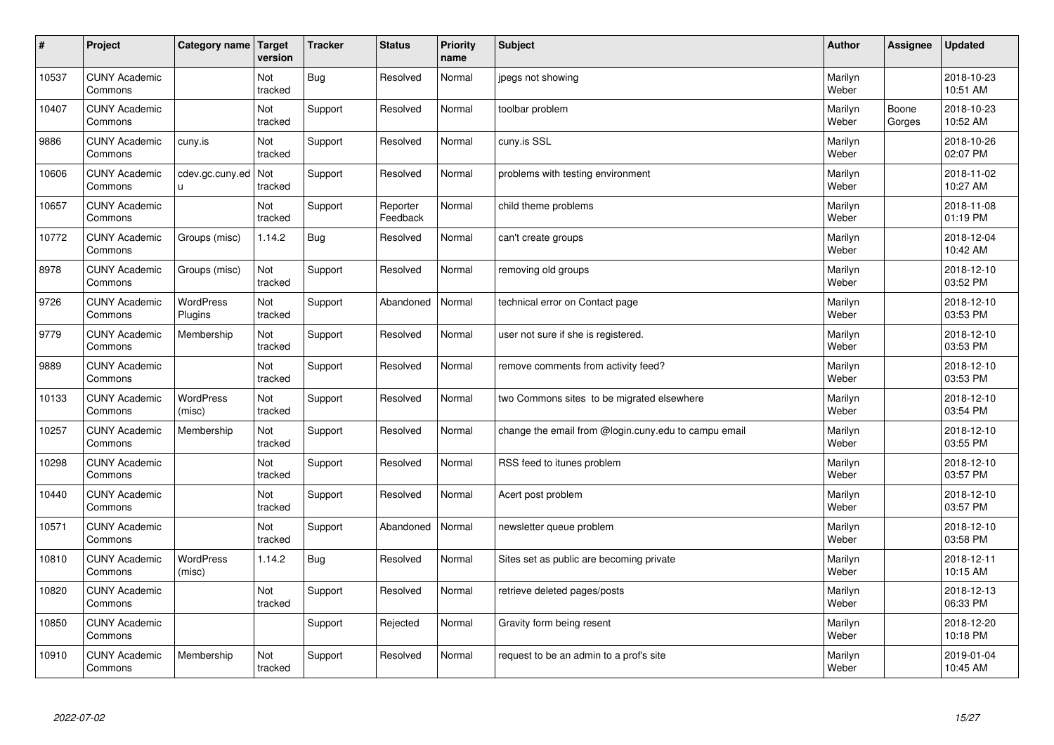| $\vert$ # | Project                         | Category name               | Target<br>version | <b>Tracker</b> | <b>Status</b>        | <b>Priority</b><br>name | <b>Subject</b>                                       | <b>Author</b>    | Assignee        | <b>Updated</b>         |
|-----------|---------------------------------|-----------------------------|-------------------|----------------|----------------------|-------------------------|------------------------------------------------------|------------------|-----------------|------------------------|
| 10537     | <b>CUNY Academic</b><br>Commons |                             | Not<br>tracked    | <b>Bug</b>     | Resolved             | Normal                  | jpegs not showing                                    | Marilyn<br>Weber |                 | 2018-10-23<br>10:51 AM |
| 10407     | <b>CUNY Academic</b><br>Commons |                             | Not<br>tracked    | Support        | Resolved             | Normal                  | toolbar problem                                      | Marilyn<br>Weber | Boone<br>Gorges | 2018-10-23<br>10:52 AM |
| 9886      | <b>CUNY Academic</b><br>Commons | cuny.is                     | Not<br>tracked    | Support        | Resolved             | Normal                  | cuny.is SSL                                          | Marilyn<br>Weber |                 | 2018-10-26<br>02:07 PM |
| 10606     | <b>CUNY Academic</b><br>Commons | cdev.gc.cuny.ed<br>u.       | Not<br>tracked    | Support        | Resolved             | Normal                  | problems with testing environment                    | Marilyn<br>Weber |                 | 2018-11-02<br>10:27 AM |
| 10657     | <b>CUNY Academic</b><br>Commons |                             | Not<br>tracked    | Support        | Reporter<br>Feedback | Normal                  | child theme problems                                 | Marilyn<br>Weber |                 | 2018-11-08<br>01:19 PM |
| 10772     | <b>CUNY Academic</b><br>Commons | Groups (misc)               | 1.14.2            | Bug            | Resolved             | Normal                  | can't create groups                                  | Marilyn<br>Weber |                 | 2018-12-04<br>10:42 AM |
| 8978      | <b>CUNY Academic</b><br>Commons | Groups (misc)               | Not<br>tracked    | Support        | Resolved             | Normal                  | removing old groups                                  | Marilyn<br>Weber |                 | 2018-12-10<br>03:52 PM |
| 9726      | <b>CUNY Academic</b><br>Commons | <b>WordPress</b><br>Plugins | Not<br>tracked    | Support        | Abandoned            | Normal                  | technical error on Contact page                      | Marilyn<br>Weber |                 | 2018-12-10<br>03:53 PM |
| 9779      | <b>CUNY Academic</b><br>Commons | Membership                  | Not<br>tracked    | Support        | Resolved             | Normal                  | user not sure if she is registered.                  | Marilyn<br>Weber |                 | 2018-12-10<br>03:53 PM |
| 9889      | <b>CUNY Academic</b><br>Commons |                             | Not<br>tracked    | Support        | Resolved             | Normal                  | remove comments from activity feed?                  | Marilyn<br>Weber |                 | 2018-12-10<br>03:53 PM |
| 10133     | <b>CUNY Academic</b><br>Commons | WordPress<br>(misc)         | Not<br>tracked    | Support        | Resolved             | Normal                  | two Commons sites to be migrated elsewhere           | Marilyn<br>Weber |                 | 2018-12-10<br>03:54 PM |
| 10257     | <b>CUNY Academic</b><br>Commons | Membership                  | Not<br>tracked    | Support        | Resolved             | Normal                  | change the email from @login.cuny.edu to campu email | Marilyn<br>Weber |                 | 2018-12-10<br>03:55 PM |
| 10298     | <b>CUNY Academic</b><br>Commons |                             | Not<br>tracked    | Support        | Resolved             | Normal                  | RSS feed to itunes problem                           | Marilyn<br>Weber |                 | 2018-12-10<br>03:57 PM |
| 10440     | <b>CUNY Academic</b><br>Commons |                             | Not<br>tracked    | Support        | Resolved             | Normal                  | Acert post problem                                   | Marilyn<br>Weber |                 | 2018-12-10<br>03:57 PM |
| 10571     | <b>CUNY Academic</b><br>Commons |                             | Not<br>tracked    | Support        | Abandoned            | Normal                  | newsletter queue problem                             | Marilyn<br>Weber |                 | 2018-12-10<br>03:58 PM |
| 10810     | <b>CUNY Academic</b><br>Commons | <b>WordPress</b><br>(misc)  | 1.14.2            | <b>Bug</b>     | Resolved             | Normal                  | Sites set as public are becoming private             | Marilyn<br>Weber |                 | 2018-12-11<br>10:15 AM |
| 10820     | <b>CUNY Academic</b><br>Commons |                             | Not<br>tracked    | Support        | Resolved             | Normal                  | retrieve deleted pages/posts                         | Marilyn<br>Weber |                 | 2018-12-13<br>06:33 PM |
| 10850     | <b>CUNY Academic</b><br>Commons |                             |                   | Support        | Rejected             | Normal                  | Gravity form being resent                            | Marilyn<br>Weber |                 | 2018-12-20<br>10:18 PM |
| 10910     | <b>CUNY Academic</b><br>Commons | Membership                  | Not<br>tracked    | Support        | Resolved             | Normal                  | request to be an admin to a prof's site              | Marilyn<br>Weber |                 | 2019-01-04<br>10:45 AM |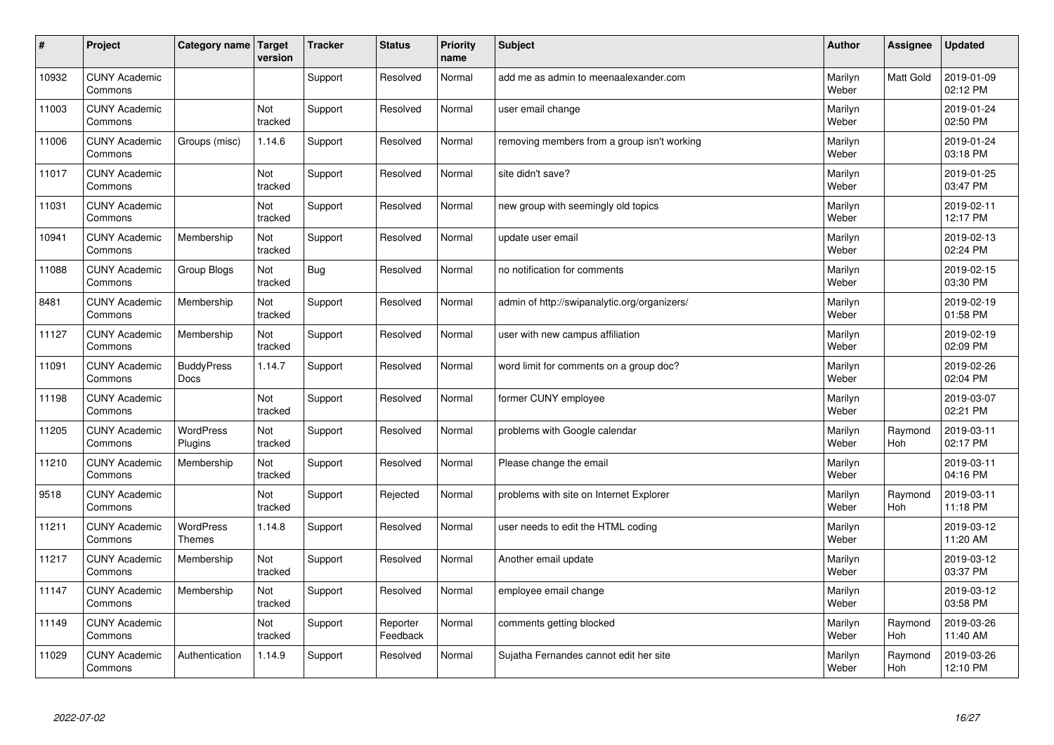| $\pmb{\#}$ | Project                         | Category name                     | Target<br>version | <b>Tracker</b> | <b>Status</b>        | <b>Priority</b><br>name | <b>Subject</b>                               | <b>Author</b>    | Assignee       | <b>Updated</b>         |
|------------|---------------------------------|-----------------------------------|-------------------|----------------|----------------------|-------------------------|----------------------------------------------|------------------|----------------|------------------------|
| 10932      | <b>CUNY Academic</b><br>Commons |                                   |                   | Support        | Resolved             | Normal                  | add me as admin to meenaalexander.com        | Marilyn<br>Weber | Matt Gold      | 2019-01-09<br>02:12 PM |
| 11003      | <b>CUNY Academic</b><br>Commons |                                   | Not<br>tracked    | Support        | Resolved             | Normal                  | user email change                            | Marilyn<br>Weber |                | 2019-01-24<br>02:50 PM |
| 11006      | <b>CUNY Academic</b><br>Commons | Groups (misc)                     | 1.14.6            | Support        | Resolved             | Normal                  | removing members from a group isn't working  | Marilyn<br>Weber |                | 2019-01-24<br>03:18 PM |
| 11017      | <b>CUNY Academic</b><br>Commons |                                   | Not<br>tracked    | Support        | Resolved             | Normal                  | site didn't save?                            | Marilyn<br>Weber |                | 2019-01-25<br>03:47 PM |
| 11031      | <b>CUNY Academic</b><br>Commons |                                   | Not<br>tracked    | Support        | Resolved             | Normal                  | new group with seemingly old topics          | Marilyn<br>Weber |                | 2019-02-11<br>12:17 PM |
| 10941      | <b>CUNY Academic</b><br>Commons | Membership                        | Not<br>tracked    | Support        | Resolved             | Normal                  | update user email                            | Marilyn<br>Weber |                | 2019-02-13<br>02:24 PM |
| 11088      | <b>CUNY Academic</b><br>Commons | Group Blogs                       | Not<br>tracked    | Bug            | Resolved             | Normal                  | no notification for comments                 | Marilyn<br>Weber |                | 2019-02-15<br>03:30 PM |
| 8481       | <b>CUNY Academic</b><br>Commons | Membership                        | Not<br>tracked    | Support        | Resolved             | Normal                  | admin of http://swipanalytic.org/organizers/ | Marilyn<br>Weber |                | 2019-02-19<br>01:58 PM |
| 11127      | <b>CUNY Academic</b><br>Commons | Membership                        | Not<br>tracked    | Support        | Resolved             | Normal                  | user with new campus affiliation             | Marilyn<br>Weber |                | 2019-02-19<br>02:09 PM |
| 11091      | <b>CUNY Academic</b><br>Commons | <b>BuddyPress</b><br>Docs         | 1.14.7            | Support        | Resolved             | Normal                  | word limit for comments on a group doc?      | Marilyn<br>Weber |                | 2019-02-26<br>02:04 PM |
| 11198      | <b>CUNY Academic</b><br>Commons |                                   | Not<br>tracked    | Support        | Resolved             | Normal                  | former CUNY employee                         | Marilyn<br>Weber |                | 2019-03-07<br>02:21 PM |
| 11205      | <b>CUNY Academic</b><br>Commons | <b>WordPress</b><br>Plugins       | Not<br>tracked    | Support        | Resolved             | Normal                  | problems with Google calendar                | Marilyn<br>Weber | Raymond<br>Hoh | 2019-03-11<br>02:17 PM |
| 11210      | <b>CUNY Academic</b><br>Commons | Membership                        | Not<br>tracked    | Support        | Resolved             | Normal                  | Please change the email                      | Marilyn<br>Weber |                | 2019-03-11<br>04:16 PM |
| 9518       | <b>CUNY Academic</b><br>Commons |                                   | Not<br>tracked    | Support        | Rejected             | Normal                  | problems with site on Internet Explorer      | Marilyn<br>Weber | Raymond<br>Hoh | 2019-03-11<br>11:18 PM |
| 11211      | <b>CUNY Academic</b><br>Commons | <b>WordPress</b><br><b>Themes</b> | 1.14.8            | Support        | Resolved             | Normal                  | user needs to edit the HTML coding           | Marilyn<br>Weber |                | 2019-03-12<br>11:20 AM |
| 11217      | <b>CUNY Academic</b><br>Commons | Membership                        | Not<br>tracked    | Support        | Resolved             | Normal                  | Another email update                         | Marilyn<br>Weber |                | 2019-03-12<br>03:37 PM |
| 11147      | <b>CUNY Academic</b><br>Commons | Membership                        | Not<br>tracked    | Support        | Resolved             | Normal                  | employee email change                        | Marilyn<br>Weber |                | 2019-03-12<br>03:58 PM |
| 11149      | <b>CUNY Academic</b><br>Commons |                                   | Not<br>tracked    | Support        | Reporter<br>Feedback | Normal                  | comments getting blocked                     | Marilyn<br>Weber | Raymond<br>Hoh | 2019-03-26<br>11:40 AM |
| 11029      | <b>CUNY Academic</b><br>Commons | Authentication                    | 1.14.9            | Support        | Resolved             | Normal                  | Sujatha Fernandes cannot edit her site       | Marilyn<br>Weber | Raymond<br>Hoh | 2019-03-26<br>12:10 PM |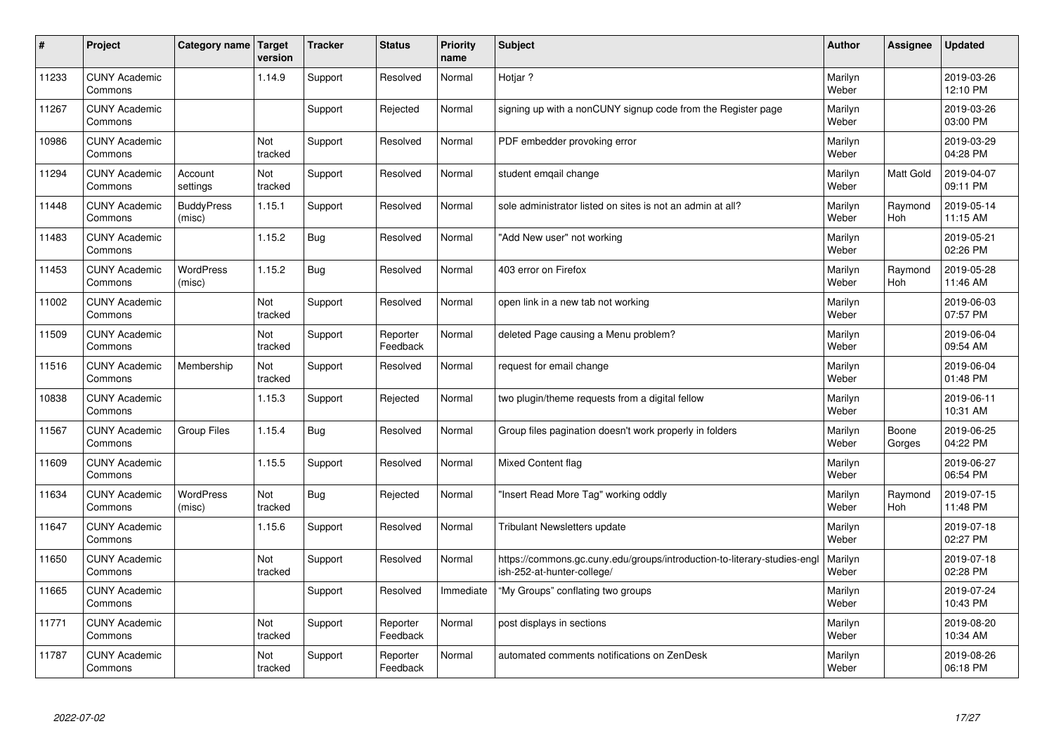| $\vert$ # | Project                         | Category name               | Target<br>version | <b>Tracker</b> | <b>Status</b>        | <b>Priority</b><br>name | <b>Subject</b>                                                                                         | <b>Author</b>    | Assignee              | <b>Updated</b>         |
|-----------|---------------------------------|-----------------------------|-------------------|----------------|----------------------|-------------------------|--------------------------------------------------------------------------------------------------------|------------------|-----------------------|------------------------|
| 11233     | <b>CUNY Academic</b><br>Commons |                             | 1.14.9            | Support        | Resolved             | Normal                  | Hotiar?                                                                                                | Marilyn<br>Weber |                       | 2019-03-26<br>12:10 PM |
| 11267     | <b>CUNY Academic</b><br>Commons |                             |                   | Support        | Rejected             | Normal                  | signing up with a nonCUNY signup code from the Register page                                           | Marilyn<br>Weber |                       | 2019-03-26<br>03:00 PM |
| 10986     | <b>CUNY Academic</b><br>Commons |                             | Not<br>tracked    | Support        | Resolved             | Normal                  | PDF embedder provoking error                                                                           | Marilyn<br>Weber |                       | 2019-03-29<br>04:28 PM |
| 11294     | <b>CUNY Academic</b><br>Commons | Account<br>settings         | Not<br>tracked    | Support        | Resolved             | Normal                  | student emqail change                                                                                  | Marilyn<br>Weber | Matt Gold             | 2019-04-07<br>09:11 PM |
| 11448     | <b>CUNY Academic</b><br>Commons | <b>BuddyPress</b><br>(misc) | 1.15.1            | Support        | Resolved             | Normal                  | sole administrator listed on sites is not an admin at all?                                             | Marilyn<br>Weber | Raymond<br>Hoh        | 2019-05-14<br>11:15 AM |
| 11483     | <b>CUNY Academic</b><br>Commons |                             | 1.15.2            | Bug            | Resolved             | Normal                  | 'Add New user" not working                                                                             | Marilyn<br>Weber |                       | 2019-05-21<br>02:26 PM |
| 11453     | <b>CUNY Academic</b><br>Commons | <b>WordPress</b><br>(misc)  | 1.15.2            | <b>Bug</b>     | Resolved             | Normal                  | 403 error on Firefox                                                                                   | Marilyn<br>Weber | Raymond<br><b>Hoh</b> | 2019-05-28<br>11:46 AM |
| 11002     | <b>CUNY Academic</b><br>Commons |                             | Not<br>tracked    | Support        | Resolved             | Normal                  | open link in a new tab not working                                                                     | Marilyn<br>Weber |                       | 2019-06-03<br>07:57 PM |
| 11509     | <b>CUNY Academic</b><br>Commons |                             | Not<br>tracked    | Support        | Reporter<br>Feedback | Normal                  | deleted Page causing a Menu problem?                                                                   | Marilyn<br>Weber |                       | 2019-06-04<br>09:54 AM |
| 11516     | <b>CUNY Academic</b><br>Commons | Membership                  | Not<br>tracked    | Support        | Resolved             | Normal                  | request for email change                                                                               | Marilyn<br>Weber |                       | 2019-06-04<br>01:48 PM |
| 10838     | <b>CUNY Academic</b><br>Commons |                             | 1.15.3            | Support        | Rejected             | Normal                  | two plugin/theme requests from a digital fellow                                                        | Marilyn<br>Weber |                       | 2019-06-11<br>10:31 AM |
| 11567     | <b>CUNY Academic</b><br>Commons | <b>Group Files</b>          | 1.15.4            | Bug            | Resolved             | Normal                  | Group files pagination doesn't work properly in folders                                                | Marilyn<br>Weber | Boone<br>Gorges       | 2019-06-25<br>04:22 PM |
| 11609     | <b>CUNY Academic</b><br>Commons |                             | 1.15.5            | Support        | Resolved             | Normal                  | Mixed Content flag                                                                                     | Marilyn<br>Weber |                       | 2019-06-27<br>06:54 PM |
| 11634     | <b>CUNY Academic</b><br>Commons | <b>WordPress</b><br>(misc)  | Not<br>tracked    | <b>Bug</b>     | Rejected             | Normal                  | 'Insert Read More Tag" working oddly                                                                   | Marilyn<br>Weber | Raymond<br>Hoh        | 2019-07-15<br>11:48 PM |
| 11647     | <b>CUNY Academic</b><br>Commons |                             | 1.15.6            | Support        | Resolved             | Normal                  | Tribulant Newsletters update                                                                           | Marilyn<br>Weber |                       | 2019-07-18<br>02:27 PM |
| 11650     | <b>CUNY Academic</b><br>Commons |                             | Not<br>tracked    | Support        | Resolved             | Normal                  | https://commons.gc.cuny.edu/groups/introduction-to-literary-studies-engl<br>ish-252-at-hunter-college/ | Marilyn<br>Weber |                       | 2019-07-18<br>02:28 PM |
| 11665     | <b>CUNY Academic</b><br>Commons |                             |                   | Support        | Resolved             | Immediate               | "My Groups" conflating two groups                                                                      | Marilyn<br>Weber |                       | 2019-07-24<br>10:43 PM |
| 11771     | <b>CUNY Academic</b><br>Commons |                             | Not<br>tracked    | Support        | Reporter<br>Feedback | Normal                  | post displays in sections                                                                              | Marilyn<br>Weber |                       | 2019-08-20<br>10:34 AM |
| 11787     | <b>CUNY Academic</b><br>Commons |                             | Not<br>tracked    | Support        | Reporter<br>Feedback | Normal                  | automated comments notifications on ZenDesk                                                            | Marilyn<br>Weber |                       | 2019-08-26<br>06:18 PM |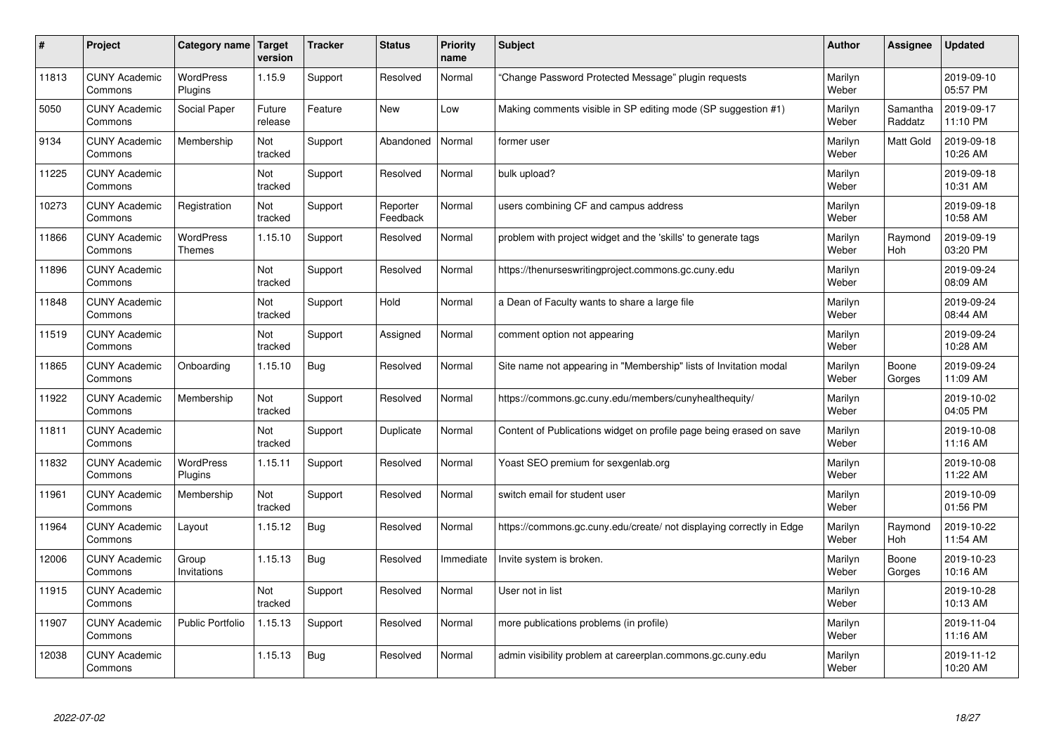| #     | Project                         | Category name   Target      | version           | <b>Tracker</b> | <b>Status</b>        | <b>Priority</b><br>name | <b>Subject</b>                                                       | <b>Author</b>    | <b>Assignee</b>     | <b>Updated</b>         |
|-------|---------------------------------|-----------------------------|-------------------|----------------|----------------------|-------------------------|----------------------------------------------------------------------|------------------|---------------------|------------------------|
| 11813 | <b>CUNY Academic</b><br>Commons | <b>WordPress</b><br>Plugins | 1.15.9            | Support        | Resolved             | Normal                  | 'Change Password Protected Message" plugin requests                  | Marilyn<br>Weber |                     | 2019-09-10<br>05:57 PM |
| 5050  | <b>CUNY Academic</b><br>Commons | Social Paper                | Future<br>release | Feature        | <b>New</b>           | Low                     | Making comments visible in SP editing mode (SP suggestion #1)        | Marilyn<br>Weber | Samantha<br>Raddatz | 2019-09-17<br>11:10 PM |
| 9134  | <b>CUNY Academic</b><br>Commons | Membership                  | Not<br>tracked    | Support        | Abandoned            | Normal                  | former user                                                          | Marilyn<br>Weber | <b>Matt Gold</b>    | 2019-09-18<br>10:26 AM |
| 11225 | <b>CUNY Academic</b><br>Commons |                             | Not<br>tracked    | Support        | Resolved             | Normal                  | bulk upload?                                                         | Marilyn<br>Weber |                     | 2019-09-18<br>10:31 AM |
| 10273 | <b>CUNY Academic</b><br>Commons | Registration                | Not<br>tracked    | Support        | Reporter<br>Feedback | Normal                  | users combining CF and campus address                                | Marilyn<br>Weber |                     | 2019-09-18<br>10:58 AM |
| 11866 | <b>CUNY Academic</b><br>Commons | <b>WordPress</b><br>Themes  | 1.15.10           | Support        | Resolved             | Normal                  | problem with project widget and the 'skills' to generate tags        | Marilyn<br>Weber | Raymond<br>Hoh      | 2019-09-19<br>03:20 PM |
| 11896 | <b>CUNY Academic</b><br>Commons |                             | Not<br>tracked    | Support        | Resolved             | Normal                  | https://thenurseswritingproject.commons.gc.cuny.edu                  | Marilyn<br>Weber |                     | 2019-09-24<br>08:09 AM |
| 11848 | <b>CUNY Academic</b><br>Commons |                             | Not<br>tracked    | Support        | Hold                 | Normal                  | a Dean of Faculty wants to share a large file                        | Marilyn<br>Weber |                     | 2019-09-24<br>08:44 AM |
| 11519 | <b>CUNY Academic</b><br>Commons |                             | Not<br>tracked    | Support        | Assigned             | Normal                  | comment option not appearing                                         | Marilyn<br>Weber |                     | 2019-09-24<br>10:28 AM |
| 11865 | <b>CUNY Academic</b><br>Commons | Onboarding                  | 1.15.10           | Bug            | Resolved             | Normal                  | Site name not appearing in "Membership" lists of Invitation modal    | Marilyn<br>Weber | Boone<br>Gorges     | 2019-09-24<br>11:09 AM |
| 11922 | <b>CUNY Academic</b><br>Commons | Membership                  | Not<br>tracked    | Support        | Resolved             | Normal                  | https://commons.gc.cuny.edu/members/cunyhealthequity/                | Marilyn<br>Weber |                     | 2019-10-02<br>04:05 PM |
| 11811 | <b>CUNY Academic</b><br>Commons |                             | Not<br>tracked    | Support        | Duplicate            | Normal                  | Content of Publications widget on profile page being erased on save  | Marilyn<br>Weber |                     | 2019-10-08<br>11:16 AM |
| 11832 | <b>CUNY Academic</b><br>Commons | <b>WordPress</b><br>Plugins | 1.15.11           | Support        | Resolved             | Normal                  | Yoast SEO premium for sexgenlab.org                                  | Marilyn<br>Weber |                     | 2019-10-08<br>11:22 AM |
| 11961 | <b>CUNY Academic</b><br>Commons | Membership                  | Not<br>tracked    | Support        | Resolved             | Normal                  | switch email for student user                                        | Marilyn<br>Weber |                     | 2019-10-09<br>01:56 PM |
| 11964 | <b>CUNY Academic</b><br>Commons | Layout                      | 1.15.12           | Bug            | Resolved             | Normal                  | https://commons.gc.cuny.edu/create/ not displaying correctly in Edge | Marilyn<br>Weber | Raymond<br>Hoh      | 2019-10-22<br>11:54 AM |
| 12006 | <b>CUNY Academic</b><br>Commons | Group<br>Invitations        | 1.15.13           | Bug            | Resolved             | Immediate               | Invite system is broken.                                             | Marilyn<br>Weber | Boone<br>Gorges     | 2019-10-23<br>10:16 AM |
| 11915 | <b>CUNY Academic</b><br>Commons |                             | Not<br>tracked    | Support        | Resolved             | Normal                  | User not in list                                                     | Marilyn<br>Weber |                     | 2019-10-28<br>10:13 AM |
| 11907 | <b>CUNY Academic</b><br>Commons | <b>Public Portfolio</b>     | 1.15.13           | Support        | Resolved             | Normal                  | more publications problems (in profile)                              | Marilyn<br>Weber |                     | 2019-11-04<br>11:16 AM |
| 12038 | <b>CUNY Academic</b><br>Commons |                             | 1.15.13           | Bug            | Resolved             | Normal                  | admin visibility problem at careerplan.commons.gc.cuny.edu           | Marilyn<br>Weber |                     | 2019-11-12<br>10:20 AM |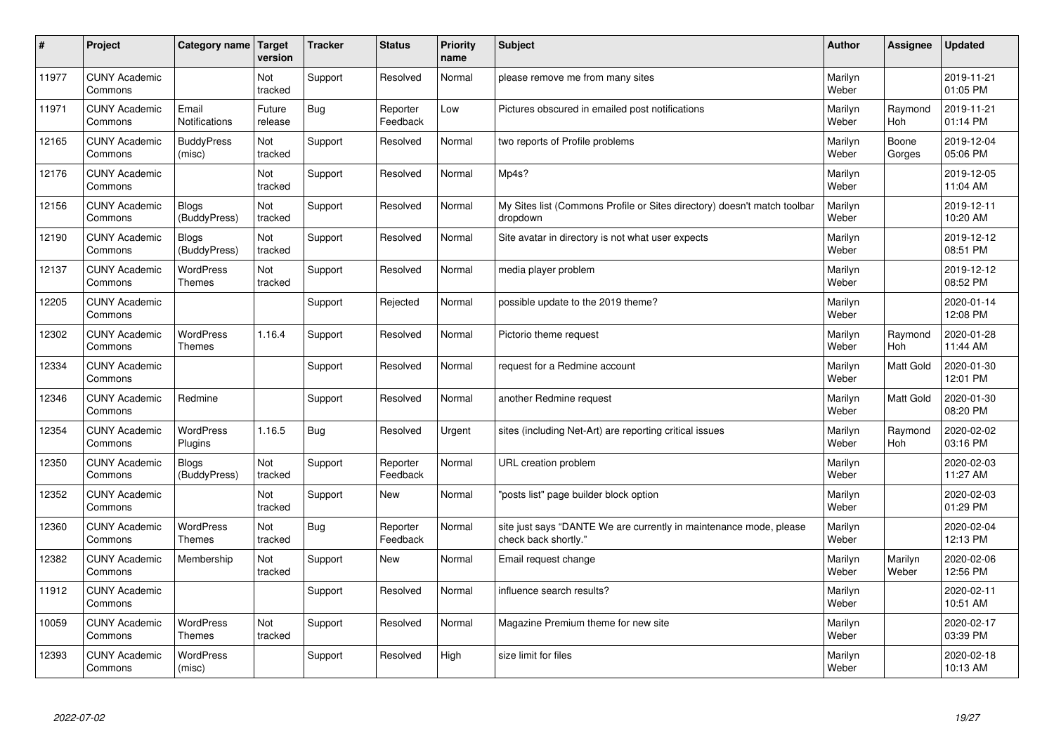| $\vert$ # | Project                         | Category name                     | Target<br>version | <b>Tracker</b> | <b>Status</b>        | <b>Priority</b><br>name | <b>Subject</b>                                                                             | <b>Author</b>    | Assignee         | <b>Updated</b>         |
|-----------|---------------------------------|-----------------------------------|-------------------|----------------|----------------------|-------------------------|--------------------------------------------------------------------------------------------|------------------|------------------|------------------------|
| 11977     | <b>CUNY Academic</b><br>Commons |                                   | Not<br>tracked    | Support        | Resolved             | Normal                  | please remove me from many sites                                                           | Marilyn<br>Weber |                  | 2019-11-21<br>01:05 PM |
| 11971     | <b>CUNY Academic</b><br>Commons | Email<br><b>Notifications</b>     | Future<br>release | Bug            | Reporter<br>Feedback | Low                     | Pictures obscured in emailed post notifications                                            | Marilyn<br>Weber | Raymond<br>Hoh   | 2019-11-21<br>01:14 PM |
| 12165     | <b>CUNY Academic</b><br>Commons | <b>BuddyPress</b><br>(misc)       | Not<br>tracked    | Support        | Resolved             | Normal                  | two reports of Profile problems                                                            | Marilyn<br>Weber | Boone<br>Gorges  | 2019-12-04<br>05:06 PM |
| 12176     | <b>CUNY Academic</b><br>Commons |                                   | Not<br>tracked    | Support        | Resolved             | Normal                  | Mp4s?                                                                                      | Marilyn<br>Weber |                  | 2019-12-05<br>11:04 AM |
| 12156     | <b>CUNY Academic</b><br>Commons | <b>Blogs</b><br>(BuddyPress)      | Not<br>tracked    | Support        | Resolved             | Normal                  | My Sites list (Commons Profile or Sites directory) doesn't match toolbar<br>dropdown       | Marilyn<br>Weber |                  | 2019-12-11<br>10:20 AM |
| 12190     | <b>CUNY Academic</b><br>Commons | <b>Blogs</b><br>(BuddyPress)      | Not<br>tracked    | Support        | Resolved             | Normal                  | Site avatar in directory is not what user expects                                          | Marilyn<br>Weber |                  | 2019-12-12<br>08:51 PM |
| 12137     | <b>CUNY Academic</b><br>Commons | <b>WordPress</b><br><b>Themes</b> | Not<br>tracked    | Support        | Resolved             | Normal                  | media player problem                                                                       | Marilyn<br>Weber |                  | 2019-12-12<br>08:52 PM |
| 12205     | <b>CUNY Academic</b><br>Commons |                                   |                   | Support        | Rejected             | Normal                  | possible update to the 2019 theme?                                                         | Marilyn<br>Weber |                  | 2020-01-14<br>12:08 PM |
| 12302     | <b>CUNY Academic</b><br>Commons | <b>WordPress</b><br><b>Themes</b> | 1.16.4            | Support        | Resolved             | Normal                  | Pictorio theme request                                                                     | Marilyn<br>Weber | Raymond<br>Hoh   | 2020-01-28<br>11:44 AM |
| 12334     | <b>CUNY Academic</b><br>Commons |                                   |                   | Support        | Resolved             | Normal                  | request for a Redmine account                                                              | Marilyn<br>Weber | <b>Matt Gold</b> | 2020-01-30<br>12:01 PM |
| 12346     | <b>CUNY Academic</b><br>Commons | Redmine                           |                   | Support        | Resolved             | Normal                  | another Redmine request                                                                    | Marilyn<br>Weber | <b>Matt Gold</b> | 2020-01-30<br>08:20 PM |
| 12354     | <b>CUNY Academic</b><br>Commons | <b>WordPress</b><br>Plugins       | 1.16.5            | Bug            | Resolved             | Urgent                  | sites (including Net-Art) are reporting critical issues                                    | Marilyn<br>Weber | Raymond<br>Hoh   | 2020-02-02<br>03:16 PM |
| 12350     | <b>CUNY Academic</b><br>Commons | <b>Blogs</b><br>(BuddyPress)      | Not<br>tracked    | Support        | Reporter<br>Feedback | Normal                  | URL creation problem                                                                       | Marilyn<br>Weber |                  | 2020-02-03<br>11:27 AM |
| 12352     | <b>CUNY Academic</b><br>Commons |                                   | Not<br>tracked    | Support        | <b>New</b>           | Normal                  | 'posts list" page builder block option                                                     | Marilyn<br>Weber |                  | 2020-02-03<br>01:29 PM |
| 12360     | <b>CUNY Academic</b><br>Commons | <b>WordPress</b><br><b>Themes</b> | Not<br>tracked    | Bug            | Reporter<br>Feedback | Normal                  | site just says "DANTE We are currently in maintenance mode, please<br>check back shortly." | Marilyn<br>Weber |                  | 2020-02-04<br>12:13 PM |
| 12382     | <b>CUNY Academic</b><br>Commons | Membership                        | Not<br>tracked    | Support        | <b>New</b>           | Normal                  | Email request change                                                                       | Marilyn<br>Weber | Marilyn<br>Weber | 2020-02-06<br>12:56 PM |
| 11912     | <b>CUNY Academic</b><br>Commons |                                   |                   | Support        | Resolved             | Normal                  | influence search results?                                                                  | Marilyn<br>Weber |                  | 2020-02-11<br>10:51 AM |
| 10059     | <b>CUNY Academic</b><br>Commons | <b>WordPress</b><br><b>Themes</b> | Not<br>tracked    | Support        | Resolved             | Normal                  | Magazine Premium theme for new site                                                        | Marilyn<br>Weber |                  | 2020-02-17<br>03:39 PM |
| 12393     | <b>CUNY Academic</b><br>Commons | <b>WordPress</b><br>(misc)        |                   | Support        | Resolved             | High                    | size limit for files                                                                       | Marilyn<br>Weber |                  | 2020-02-18<br>10:13 AM |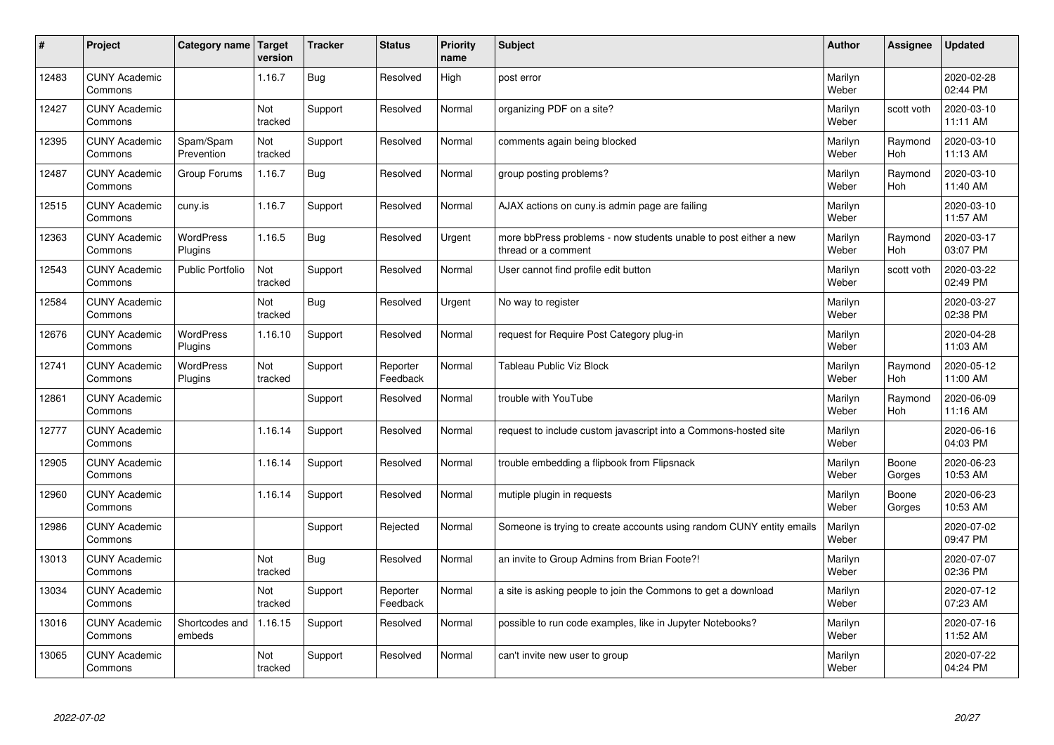| $\sharp$ | Project                         | Category name   Target      | version        | <b>Tracker</b> | <b>Status</b>        | <b>Priority</b><br>name | <b>Subject</b>                                                                          | <b>Author</b>    | Assignee              | <b>Updated</b>         |
|----------|---------------------------------|-----------------------------|----------------|----------------|----------------------|-------------------------|-----------------------------------------------------------------------------------------|------------------|-----------------------|------------------------|
| 12483    | <b>CUNY Academic</b><br>Commons |                             | 1.16.7         | Bug            | Resolved             | High                    | post error                                                                              | Marilyn<br>Weber |                       | 2020-02-28<br>02:44 PM |
| 12427    | <b>CUNY Academic</b><br>Commons |                             | Not<br>tracked | Support        | Resolved             | Normal                  | organizing PDF on a site?                                                               | Marilyn<br>Weber | scott voth            | 2020-03-10<br>11:11 AM |
| 12395    | <b>CUNY Academic</b><br>Commons | Spam/Spam<br>Prevention     | Not<br>tracked | Support        | Resolved             | Normal                  | comments again being blocked                                                            | Marilyn<br>Weber | Raymond<br>Hoh        | 2020-03-10<br>11:13 AM |
| 12487    | <b>CUNY Academic</b><br>Commons | Group Forums                | 1.16.7         | Bug            | Resolved             | Normal                  | group posting problems?                                                                 | Marilyn<br>Weber | Raymond<br>Hoh        | 2020-03-10<br>11:40 AM |
| 12515    | <b>CUNY Academic</b><br>Commons | cuny.is                     | 1.16.7         | Support        | Resolved             | Normal                  | AJAX actions on cuny is admin page are failing                                          | Marilyn<br>Weber |                       | 2020-03-10<br>11:57 AM |
| 12363    | <b>CUNY Academic</b><br>Commons | <b>WordPress</b><br>Plugins | 1.16.5         | <b>Bug</b>     | Resolved             | Urgent                  | more bbPress problems - now students unable to post either a new<br>thread or a comment | Marilyn<br>Weber | Raymond<br>Hoh        | 2020-03-17<br>03:07 PM |
| 12543    | <b>CUNY Academic</b><br>Commons | <b>Public Portfolio</b>     | Not<br>tracked | Support        | Resolved             | Normal                  | User cannot find profile edit button                                                    | Marilyn<br>Weber | scott voth            | 2020-03-22<br>02:49 PM |
| 12584    | <b>CUNY Academic</b><br>Commons |                             | Not<br>tracked | Bug            | Resolved             | Urgent                  | No way to register                                                                      | Marilyn<br>Weber |                       | 2020-03-27<br>02:38 PM |
| 12676    | <b>CUNY Academic</b><br>Commons | <b>WordPress</b><br>Plugins | 1.16.10        | Support        | Resolved             | Normal                  | request for Require Post Category plug-in                                               | Marilyn<br>Weber |                       | 2020-04-28<br>11:03 AM |
| 12741    | <b>CUNY Academic</b><br>Commons | <b>WordPress</b><br>Plugins | Not<br>tracked | Support        | Reporter<br>Feedback | Normal                  | <b>Tableau Public Viz Block</b>                                                         | Marilyn<br>Weber | Raymond<br><b>Hoh</b> | 2020-05-12<br>11:00 AM |
| 12861    | <b>CUNY Academic</b><br>Commons |                             |                | Support        | Resolved             | Normal                  | trouble with YouTube                                                                    | Marilyn<br>Weber | Raymond<br><b>Hoh</b> | 2020-06-09<br>11:16 AM |
| 12777    | <b>CUNY Academic</b><br>Commons |                             | 1.16.14        | Support        | Resolved             | Normal                  | request to include custom javascript into a Commons-hosted site                         | Marilyn<br>Weber |                       | 2020-06-16<br>04:03 PM |
| 12905    | <b>CUNY Academic</b><br>Commons |                             | 1.16.14        | Support        | Resolved             | Normal                  | trouble embedding a flipbook from Flipsnack                                             | Marilyn<br>Weber | Boone<br>Gorges       | 2020-06-23<br>10:53 AM |
| 12960    | <b>CUNY Academic</b><br>Commons |                             | 1.16.14        | Support        | Resolved             | Normal                  | mutiple plugin in requests                                                              | Marilyn<br>Weber | Boone<br>Gorges       | 2020-06-23<br>10:53 AM |
| 12986    | <b>CUNY Academic</b><br>Commons |                             |                | Support        | Rejected             | Normal                  | Someone is trying to create accounts using random CUNY entity emails                    | Marilyn<br>Weber |                       | 2020-07-02<br>09:47 PM |
| 13013    | <b>CUNY Academic</b><br>Commons |                             | Not<br>tracked | Bug            | Resolved             | Normal                  | an invite to Group Admins from Brian Foote?!                                            | Marilyn<br>Weber |                       | 2020-07-07<br>02:36 PM |
| 13034    | <b>CUNY Academic</b><br>Commons |                             | Not<br>tracked | Support        | Reporter<br>Feedback | Normal                  | a site is asking people to join the Commons to get a download                           | Marilyn<br>Weber |                       | 2020-07-12<br>07:23 AM |
| 13016    | <b>CUNY Academic</b><br>Commons | Shortcodes and<br>embeds    | 1.16.15        | Support        | Resolved             | Normal                  | possible to run code examples, like in Jupyter Notebooks?                               | Marilyn<br>Weber |                       | 2020-07-16<br>11:52 AM |
| 13065    | <b>CUNY Academic</b><br>Commons |                             | Not<br>tracked | Support        | Resolved             | Normal                  | can't invite new user to group                                                          | Marilyn<br>Weber |                       | 2020-07-22<br>04:24 PM |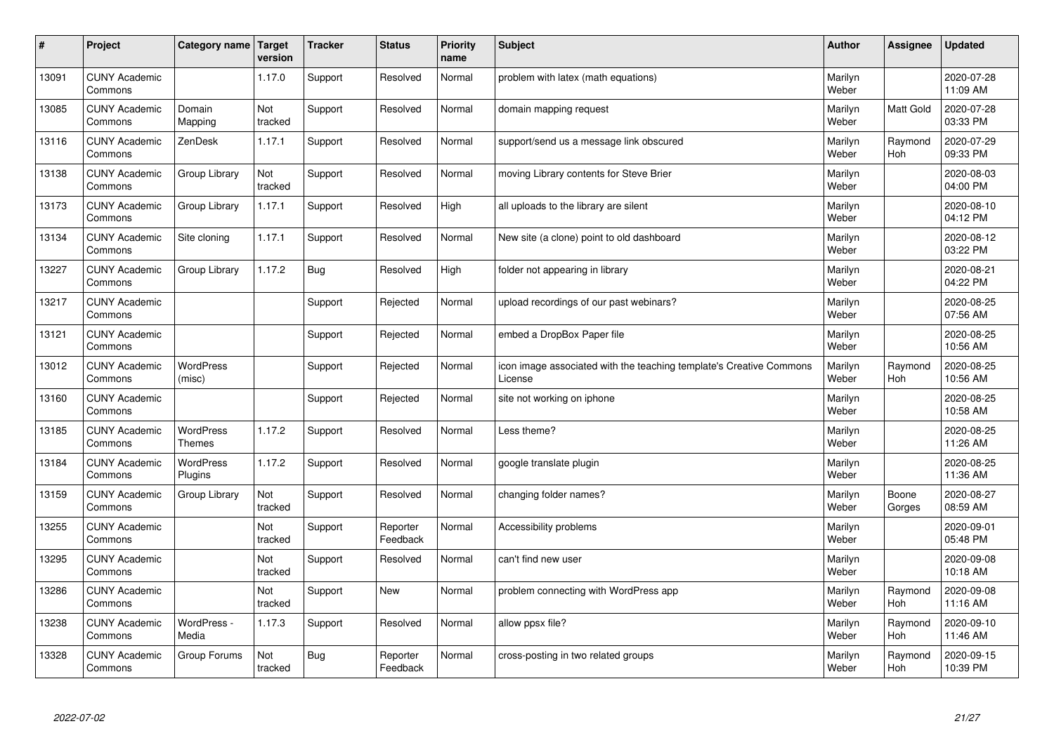| $\sharp$ | Project                         | Category name   Target            | version        | <b>Tracker</b> | <b>Status</b>        | <b>Priority</b><br>name | <b>Subject</b>                                                                 | <b>Author</b>    | Assignee              | <b>Updated</b>         |
|----------|---------------------------------|-----------------------------------|----------------|----------------|----------------------|-------------------------|--------------------------------------------------------------------------------|------------------|-----------------------|------------------------|
| 13091    | <b>CUNY Academic</b><br>Commons |                                   | 1.17.0         | Support        | Resolved             | Normal                  | problem with latex (math equations)                                            | Marilyn<br>Weber |                       | 2020-07-28<br>11:09 AM |
| 13085    | <b>CUNY Academic</b><br>Commons | Domain<br>Mapping                 | Not<br>tracked | Support        | Resolved             | Normal                  | domain mapping request                                                         | Marilyn<br>Weber | <b>Matt Gold</b>      | 2020-07-28<br>03:33 PM |
| 13116    | <b>CUNY Academic</b><br>Commons | ZenDesk                           | 1.17.1         | Support        | Resolved             | Normal                  | support/send us a message link obscured                                        | Marilyn<br>Weber | Raymond<br>Hoh        | 2020-07-29<br>09:33 PM |
| 13138    | <b>CUNY Academic</b><br>Commons | Group Library                     | Not<br>tracked | Support        | Resolved             | Normal                  | moving Library contents for Steve Brier                                        | Marilyn<br>Weber |                       | 2020-08-03<br>04:00 PM |
| 13173    | <b>CUNY Academic</b><br>Commons | Group Library                     | 1.17.1         | Support        | Resolved             | High                    | all uploads to the library are silent                                          | Marilyn<br>Weber |                       | 2020-08-10<br>04:12 PM |
| 13134    | <b>CUNY Academic</b><br>Commons | Site cloning                      | 1.17.1         | Support        | Resolved             | Normal                  | New site (a clone) point to old dashboard                                      | Marilyn<br>Weber |                       | 2020-08-12<br>03:22 PM |
| 13227    | <b>CUNY Academic</b><br>Commons | Group Library                     | 1.17.2         | Bug            | Resolved             | High                    | folder not appearing in library                                                | Marilyn<br>Weber |                       | 2020-08-21<br>04:22 PM |
| 13217    | <b>CUNY Academic</b><br>Commons |                                   |                | Support        | Rejected             | Normal                  | upload recordings of our past webinars?                                        | Marilyn<br>Weber |                       | 2020-08-25<br>07:56 AM |
| 13121    | <b>CUNY Academic</b><br>Commons |                                   |                | Support        | Rejected             | Normal                  | embed a DropBox Paper file                                                     | Marilyn<br>Weber |                       | 2020-08-25<br>10:56 AM |
| 13012    | <b>CUNY Academic</b><br>Commons | <b>WordPress</b><br>(misc)        |                | Support        | Rejected             | Normal                  | icon image associated with the teaching template's Creative Commons<br>License | Marilyn<br>Weber | Raymond<br><b>Hoh</b> | 2020-08-25<br>10:56 AM |
| 13160    | <b>CUNY Academic</b><br>Commons |                                   |                | Support        | Rejected             | Normal                  | site not working on iphone                                                     | Marilyn<br>Weber |                       | 2020-08-25<br>10:58 AM |
| 13185    | <b>CUNY Academic</b><br>Commons | <b>WordPress</b><br><b>Themes</b> | 1.17.2         | Support        | Resolved             | Normal                  | Less theme?                                                                    | Marilyn<br>Weber |                       | 2020-08-25<br>11:26 AM |
| 13184    | <b>CUNY Academic</b><br>Commons | <b>WordPress</b><br>Plugins       | 1.17.2         | Support        | Resolved             | Normal                  | google translate plugin                                                        | Marilyn<br>Weber |                       | 2020-08-25<br>11:36 AM |
| 13159    | <b>CUNY Academic</b><br>Commons | Group Library                     | Not<br>tracked | Support        | Resolved             | Normal                  | changing folder names?                                                         | Marilyn<br>Weber | Boone<br>Gorges       | 2020-08-27<br>08:59 AM |
| 13255    | <b>CUNY Academic</b><br>Commons |                                   | Not<br>tracked | Support        | Reporter<br>Feedback | Normal                  | Accessibility problems                                                         | Marilyn<br>Weber |                       | 2020-09-01<br>05:48 PM |
| 13295    | <b>CUNY Academic</b><br>Commons |                                   | Not<br>tracked | Support        | Resolved             | Normal                  | can't find new user                                                            | Marilyn<br>Weber |                       | 2020-09-08<br>10:18 AM |
| 13286    | <b>CUNY Academic</b><br>Commons |                                   | Not<br>tracked | Support        | <b>New</b>           | Normal                  | problem connecting with WordPress app                                          | Marilyn<br>Weber | Raymond<br>Hoh        | 2020-09-08<br>11:16 AM |
| 13238    | <b>CUNY Academic</b><br>Commons | WordPress -<br>Media              | 1.17.3         | Support        | Resolved             | Normal                  | allow ppsx file?                                                               | Marilyn<br>Weber | Raymond<br>Hoh        | 2020-09-10<br>11:46 AM |
| 13328    | <b>CUNY Academic</b><br>Commons | Group Forums                      | Not<br>tracked | Bug            | Reporter<br>Feedback | Normal                  | cross-posting in two related groups                                            | Marilyn<br>Weber | Raymond<br>Hoh        | 2020-09-15<br>10:39 PM |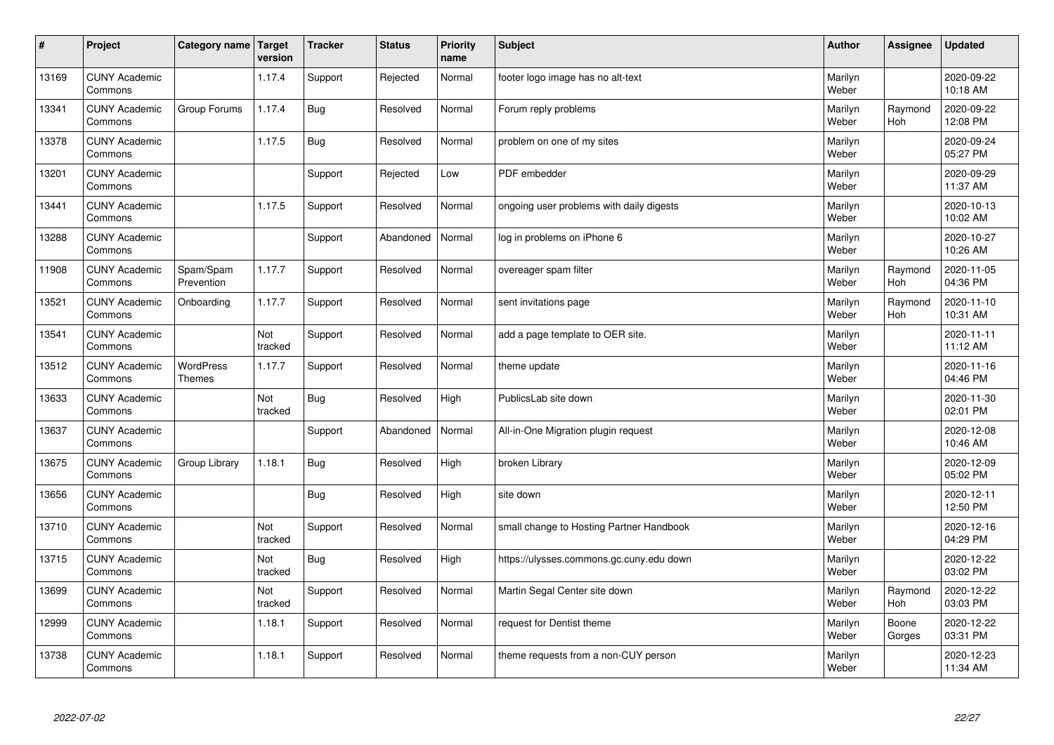| $\sharp$ | Project                         | Category name   Target            | version        | <b>Tracker</b> | <b>Status</b> | <b>Priority</b><br>name | <b>Subject</b>                           | <b>Author</b>    | Assignee              | <b>Updated</b>         |
|----------|---------------------------------|-----------------------------------|----------------|----------------|---------------|-------------------------|------------------------------------------|------------------|-----------------------|------------------------|
| 13169    | <b>CUNY Academic</b><br>Commons |                                   | 1.17.4         | Support        | Rejected      | Normal                  | footer logo image has no alt-text        | Marilyn<br>Weber |                       | 2020-09-22<br>10:18 AM |
| 13341    | <b>CUNY Academic</b><br>Commons | Group Forums                      | 1.17.4         | Bug            | Resolved      | Normal                  | Forum reply problems                     | Marilyn<br>Weber | Raymond<br><b>Hoh</b> | 2020-09-22<br>12:08 PM |
| 13378    | <b>CUNY Academic</b><br>Commons |                                   | 1.17.5         | <b>Bug</b>     | Resolved      | Normal                  | problem on one of my sites               | Marilyn<br>Weber |                       | 2020-09-24<br>05:27 PM |
| 13201    | <b>CUNY Academic</b><br>Commons |                                   |                | Support        | Rejected      | Low                     | PDF embedder                             | Marilyn<br>Weber |                       | 2020-09-29<br>11:37 AM |
| 13441    | <b>CUNY Academic</b><br>Commons |                                   | 1.17.5         | Support        | Resolved      | Normal                  | ongoing user problems with daily digests | Marilyn<br>Weber |                       | 2020-10-13<br>10:02 AM |
| 13288    | <b>CUNY Academic</b><br>Commons |                                   |                | Support        | Abandoned     | Normal                  | log in problems on iPhone 6              | Marilyn<br>Weber |                       | 2020-10-27<br>10:26 AM |
| 11908    | <b>CUNY Academic</b><br>Commons | Spam/Spam<br>Prevention           | 1.17.7         | Support        | Resolved      | Normal                  | overeager spam filter                    | Marilyn<br>Weber | Raymond<br>Hoh        | 2020-11-05<br>04:36 PM |
| 13521    | <b>CUNY Academic</b><br>Commons | Onboarding                        | 1.17.7         | Support        | Resolved      | Normal                  | sent invitations page                    | Marilyn<br>Weber | Raymond<br>Hoh        | 2020-11-10<br>10:31 AM |
| 13541    | <b>CUNY Academic</b><br>Commons |                                   | Not<br>tracked | Support        | Resolved      | Normal                  | add a page template to OER site.         | Marilyn<br>Weber |                       | 2020-11-11<br>11:12 AM |
| 13512    | <b>CUNY Academic</b><br>Commons | <b>WordPress</b><br><b>Themes</b> | 1.17.7         | Support        | Resolved      | Normal                  | theme update                             | Marilyn<br>Weber |                       | 2020-11-16<br>04:46 PM |
| 13633    | <b>CUNY Academic</b><br>Commons |                                   | Not<br>tracked | Bug            | Resolved      | High                    | PublicsLab site down                     | Marilyn<br>Weber |                       | 2020-11-30<br>02:01 PM |
| 13637    | <b>CUNY Academic</b><br>Commons |                                   |                | Support        | Abandoned     | Normal                  | All-in-One Migration plugin request      | Marilyn<br>Weber |                       | 2020-12-08<br>10:46 AM |
| 13675    | <b>CUNY Academic</b><br>Commons | Group Library                     | 1.18.1         | Bug            | Resolved      | High                    | broken Library                           | Marilyn<br>Weber |                       | 2020-12-09<br>05:02 PM |
| 13656    | <b>CUNY Academic</b><br>Commons |                                   |                | <b>Bug</b>     | Resolved      | High                    | site down                                | Marilyn<br>Weber |                       | 2020-12-11<br>12:50 PM |
| 13710    | <b>CUNY Academic</b><br>Commons |                                   | Not<br>tracked | Support        | Resolved      | Normal                  | small change to Hosting Partner Handbook | Marilyn<br>Weber |                       | 2020-12-16<br>04:29 PM |
| 13715    | <b>CUNY Academic</b><br>Commons |                                   | Not<br>tracked | Bug            | Resolved      | High                    | https://ulysses.commons.gc.cuny.edu down | Marilyn<br>Weber |                       | 2020-12-22<br>03:02 PM |
| 13699    | <b>CUNY Academic</b><br>Commons |                                   | Not<br>tracked | Support        | Resolved      | Normal                  | Martin Segal Center site down            | Marilyn<br>Weber | Raymond<br><b>Hoh</b> | 2020-12-22<br>03:03 PM |
| 12999    | <b>CUNY Academic</b><br>Commons |                                   | 1.18.1         | Support        | Resolved      | Normal                  | request for Dentist theme                | Marilyn<br>Weber | Boone<br>Gorges       | 2020-12-22<br>03:31 PM |
| 13738    | <b>CUNY Academic</b><br>Commons |                                   | 1.18.1         | Support        | Resolved      | Normal                  | theme requests from a non-CUY person     | Marilyn<br>Weber |                       | 2020-12-23<br>11:34 AM |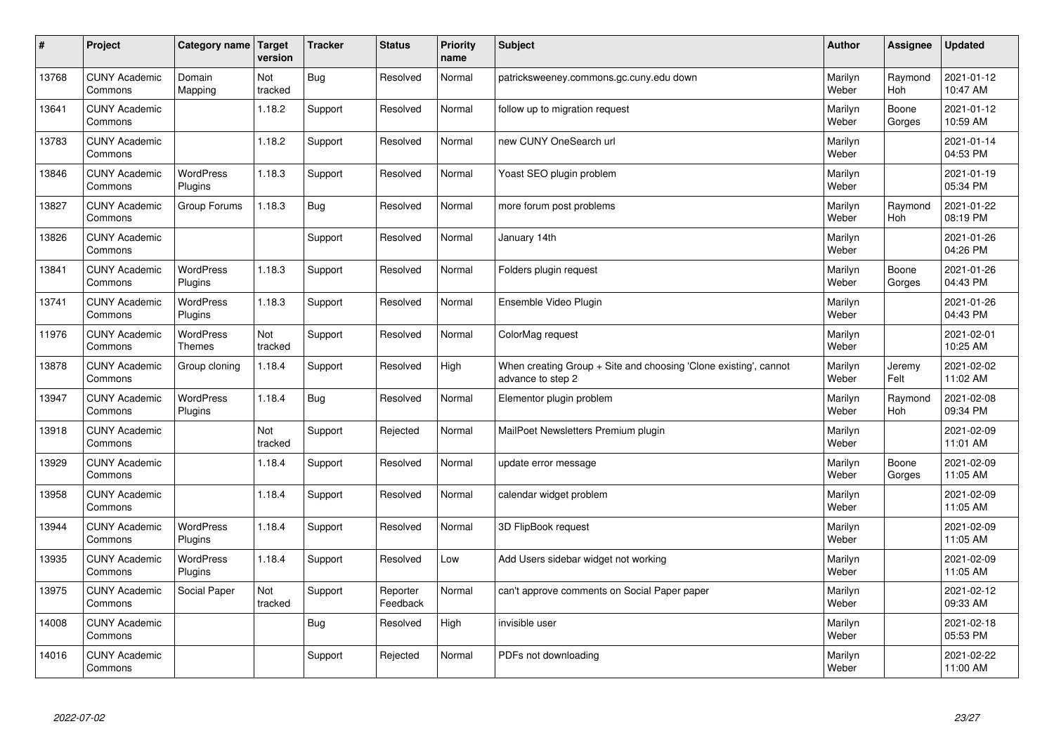| $\sharp$ | Project                         | Category name   Target      | version        | <b>Tracker</b> | <b>Status</b>        | <b>Priority</b><br>name | <b>Subject</b>                                                                        | <b>Author</b>    | Assignee              | <b>Updated</b>         |
|----------|---------------------------------|-----------------------------|----------------|----------------|----------------------|-------------------------|---------------------------------------------------------------------------------------|------------------|-----------------------|------------------------|
| 13768    | <b>CUNY Academic</b><br>Commons | Domain<br>Mapping           | Not<br>tracked | Bug            | Resolved             | Normal                  | patricksweeney.commons.gc.cuny.edu down                                               | Marilyn<br>Weber | Raymond<br><b>Hoh</b> | 2021-01-12<br>10:47 AM |
| 13641    | <b>CUNY Academic</b><br>Commons |                             | 1.18.2         | Support        | Resolved             | Normal                  | follow up to migration request                                                        | Marilyn<br>Weber | Boone<br>Gorges       | 2021-01-12<br>10:59 AM |
| 13783    | <b>CUNY Academic</b><br>Commons |                             | 1.18.2         | Support        | Resolved             | Normal                  | new CUNY OneSearch url                                                                | Marilyn<br>Weber |                       | 2021-01-14<br>04:53 PM |
| 13846    | <b>CUNY Academic</b><br>Commons | <b>WordPress</b><br>Plugins | 1.18.3         | Support        | Resolved             | Normal                  | Yoast SEO plugin problem                                                              | Marilyn<br>Weber |                       | 2021-01-19<br>05:34 PM |
| 13827    | <b>CUNY Academic</b><br>Commons | Group Forums                | 1.18.3         | Bug            | Resolved             | Normal                  | more forum post problems                                                              | Marilyn<br>Weber | Raymond<br><b>Hoh</b> | 2021-01-22<br>08:19 PM |
| 13826    | <b>CUNY Academic</b><br>Commons |                             |                | Support        | Resolved             | Normal                  | January 14th                                                                          | Marilyn<br>Weber |                       | 2021-01-26<br>04:26 PM |
| 13841    | <b>CUNY Academic</b><br>Commons | <b>WordPress</b><br>Plugins | 1.18.3         | Support        | Resolved             | Normal                  | Folders plugin request                                                                | Marilyn<br>Weber | Boone<br>Gorges       | 2021-01-26<br>04:43 PM |
| 13741    | <b>CUNY Academic</b><br>Commons | WordPress<br>Plugins        | 1.18.3         | Support        | Resolved             | Normal                  | Ensemble Video Plugin                                                                 | Marilyn<br>Weber |                       | 2021-01-26<br>04:43 PM |
| 11976    | <b>CUNY Academic</b><br>Commons | WordPress<br><b>Themes</b>  | Not<br>tracked | Support        | Resolved             | Normal                  | ColorMag request                                                                      | Marilyn<br>Weber |                       | 2021-02-01<br>10:25 AM |
| 13878    | <b>CUNY Academic</b><br>Commons | Group cloning               | 1.18.4         | Support        | Resolved             | High                    | When creating Group + Site and choosing 'Clone existing', cannot<br>advance to step 2 | Marilyn<br>Weber | Jeremy<br>Felt        | 2021-02-02<br>11:02 AM |
| 13947    | <b>CUNY Academic</b><br>Commons | <b>WordPress</b><br>Plugins | 1.18.4         | Bug            | Resolved             | Normal                  | Elementor plugin problem                                                              | Marilyn<br>Weber | Raymond<br><b>Hoh</b> | 2021-02-08<br>09:34 PM |
| 13918    | <b>CUNY Academic</b><br>Commons |                             | Not<br>tracked | Support        | Rejected             | Normal                  | MailPoet Newsletters Premium plugin                                                   | Marilyn<br>Weber |                       | 2021-02-09<br>11:01 AM |
| 13929    | <b>CUNY Academic</b><br>Commons |                             | 1.18.4         | Support        | Resolved             | Normal                  | update error message                                                                  | Marilyn<br>Weber | Boone<br>Gorges       | 2021-02-09<br>11:05 AM |
| 13958    | <b>CUNY Academic</b><br>Commons |                             | 1.18.4         | Support        | Resolved             | Normal                  | calendar widget problem                                                               | Marilyn<br>Weber |                       | 2021-02-09<br>11:05 AM |
| 13944    | <b>CUNY Academic</b><br>Commons | WordPress<br>Plugins        | 1.18.4         | Support        | Resolved             | Normal                  | 3D FlipBook request                                                                   | Marilyn<br>Weber |                       | 2021-02-09<br>11:05 AM |
| 13935    | <b>CUNY Academic</b><br>Commons | <b>WordPress</b><br>Plugins | 1.18.4         | Support        | Resolved             | Low                     | Add Users sidebar widget not working                                                  | Marilyn<br>Weber |                       | 2021-02-09<br>11:05 AM |
| 13975    | <b>CUNY Academic</b><br>Commons | Social Paper                | Not<br>tracked | Support        | Reporter<br>Feedback | Normal                  | can't approve comments on Social Paper paper                                          | Marilyn<br>Weber |                       | 2021-02-12<br>09:33 AM |
| 14008    | <b>CUNY Academic</b><br>Commons |                             |                | Bug            | Resolved             | High                    | invisible user                                                                        | Marilyn<br>Weber |                       | 2021-02-18<br>05:53 PM |
| 14016    | <b>CUNY Academic</b><br>Commons |                             |                | Support        | Rejected             | Normal                  | PDFs not downloading                                                                  | Marilyn<br>Weber |                       | 2021-02-22<br>11:00 AM |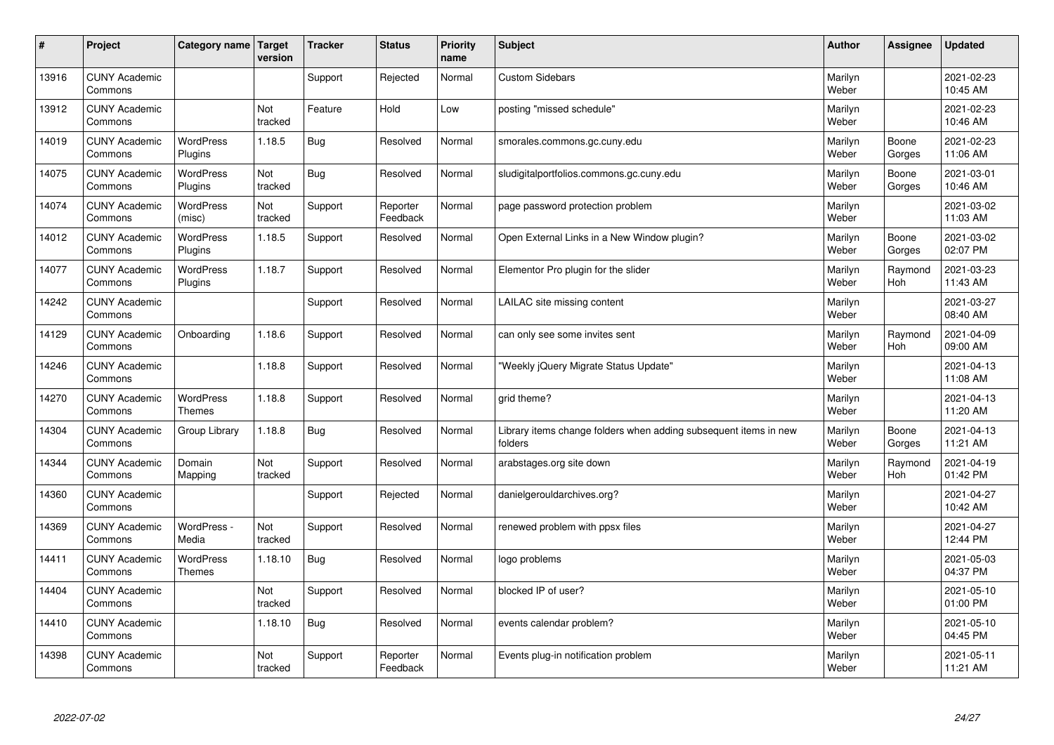| #     | Project                         | Category name   Target             | version        | <b>Tracker</b> | <b>Status</b>        | <b>Priority</b><br>name | <b>Subject</b>                                                              | <b>Author</b>    | Assignee        | <b>Updated</b>         |
|-------|---------------------------------|------------------------------------|----------------|----------------|----------------------|-------------------------|-----------------------------------------------------------------------------|------------------|-----------------|------------------------|
| 13916 | <b>CUNY Academic</b><br>Commons |                                    |                | Support        | Rejected             | Normal                  | <b>Custom Sidebars</b>                                                      | Marilyn<br>Weber |                 | 2021-02-23<br>10:45 AM |
| 13912 | <b>CUNY Academic</b><br>Commons |                                    | Not<br>tracked | Feature        | Hold                 | Low                     | posting "missed schedule"                                                   | Marilyn<br>Weber |                 | 2021-02-23<br>10:46 AM |
| 14019 | <b>CUNY Academic</b><br>Commons | <b>WordPress</b><br>Plugins        | 1.18.5         | Bug            | Resolved             | Normal                  | smorales.commons.gc.cuny.edu                                                | Marilyn<br>Weber | Boone<br>Gorges | 2021-02-23<br>11:06 AM |
| 14075 | <b>CUNY Academic</b><br>Commons | <b>WordPress</b><br>Plugins        | Not<br>tracked | <b>Bug</b>     | Resolved             | Normal                  | sludigitalportfolios.commons.gc.cuny.edu                                    | Marilyn<br>Weber | Boone<br>Gorges | 2021-03-01<br>10:46 AM |
| 14074 | <b>CUNY Academic</b><br>Commons | <b>WordPress</b><br>(misc)         | Not<br>tracked | Support        | Reporter<br>Feedback | Normal                  | page password protection problem                                            | Marilyn<br>Weber |                 | 2021-03-02<br>11:03 AM |
| 14012 | <b>CUNY Academic</b><br>Commons | <b>WordPress</b><br><b>Plugins</b> | 1.18.5         | Support        | Resolved             | Normal                  | Open External Links in a New Window plugin?                                 | Marilyn<br>Weber | Boone<br>Gorges | 2021-03-02<br>02:07 PM |
| 14077 | <b>CUNY Academic</b><br>Commons | <b>WordPress</b><br>Plugins        | 1.18.7         | Support        | Resolved             | Normal                  | Elementor Pro plugin for the slider                                         | Marilyn<br>Weber | Raymond<br>Hoh  | 2021-03-23<br>11:43 AM |
| 14242 | <b>CUNY Academic</b><br>Commons |                                    |                | Support        | Resolved             | Normal                  | LAILAC site missing content                                                 | Marilyn<br>Weber |                 | 2021-03-27<br>08:40 AM |
| 14129 | <b>CUNY Academic</b><br>Commons | Onboarding                         | 1.18.6         | Support        | Resolved             | Normal                  | can only see some invites sent                                              | Marilyn<br>Weber | Raymond<br>Hoh  | 2021-04-09<br>09:00 AM |
| 14246 | <b>CUNY Academic</b><br>Commons |                                    | 1.18.8         | Support        | Resolved             | Normal                  | 'Weekly jQuery Migrate Status Update"                                       | Marilyn<br>Weber |                 | 2021-04-13<br>11:08 AM |
| 14270 | <b>CUNY Academic</b><br>Commons | <b>WordPress</b><br><b>Themes</b>  | 1.18.8         | Support        | Resolved             | Normal                  | grid theme?                                                                 | Marilyn<br>Weber |                 | 2021-04-13<br>11:20 AM |
| 14304 | <b>CUNY Academic</b><br>Commons | Group Library                      | 1.18.8         | Bug            | Resolved             | Normal                  | Library items change folders when adding subsequent items in new<br>folders | Marilyn<br>Weber | Boone<br>Gorges | 2021-04-13<br>11:21 AM |
| 14344 | <b>CUNY Academic</b><br>Commons | Domain<br>Mapping                  | Not<br>tracked | Support        | Resolved             | Normal                  | arabstages.org site down                                                    | Marilyn<br>Weber | Raymond<br>Hoh  | 2021-04-19<br>01:42 PM |
| 14360 | <b>CUNY Academic</b><br>Commons |                                    |                | Support        | Rejected             | Normal                  | danielgerouldarchives.org?                                                  | Marilyn<br>Weber |                 | 2021-04-27<br>10:42 AM |
| 14369 | <b>CUNY Academic</b><br>Commons | WordPress -<br>Media               | Not<br>tracked | Support        | Resolved             | Normal                  | renewed problem with ppsx files                                             | Marilyn<br>Weber |                 | 2021-04-27<br>12:44 PM |
| 14411 | <b>CUNY Academic</b><br>Commons | <b>WordPress</b><br><b>Themes</b>  | 1.18.10        | Bug            | Resolved             | Normal                  | logo problems                                                               | Marilyn<br>Weber |                 | 2021-05-03<br>04:37 PM |
| 14404 | <b>CUNY Academic</b><br>Commons |                                    | Not<br>tracked | Support        | Resolved             | Normal                  | blocked IP of user?                                                         | Marilyn<br>Weber |                 | 2021-05-10<br>01:00 PM |
| 14410 | <b>CUNY Academic</b><br>Commons |                                    | 1.18.10        | Bug            | Resolved             | Normal                  | events calendar problem?                                                    | Marilyn<br>Weber |                 | 2021-05-10<br>04:45 PM |
| 14398 | <b>CUNY Academic</b><br>Commons |                                    | Not<br>tracked | Support        | Reporter<br>Feedback | Normal                  | Events plug-in notification problem                                         | Marilyn<br>Weber |                 | 2021-05-11<br>11:21 AM |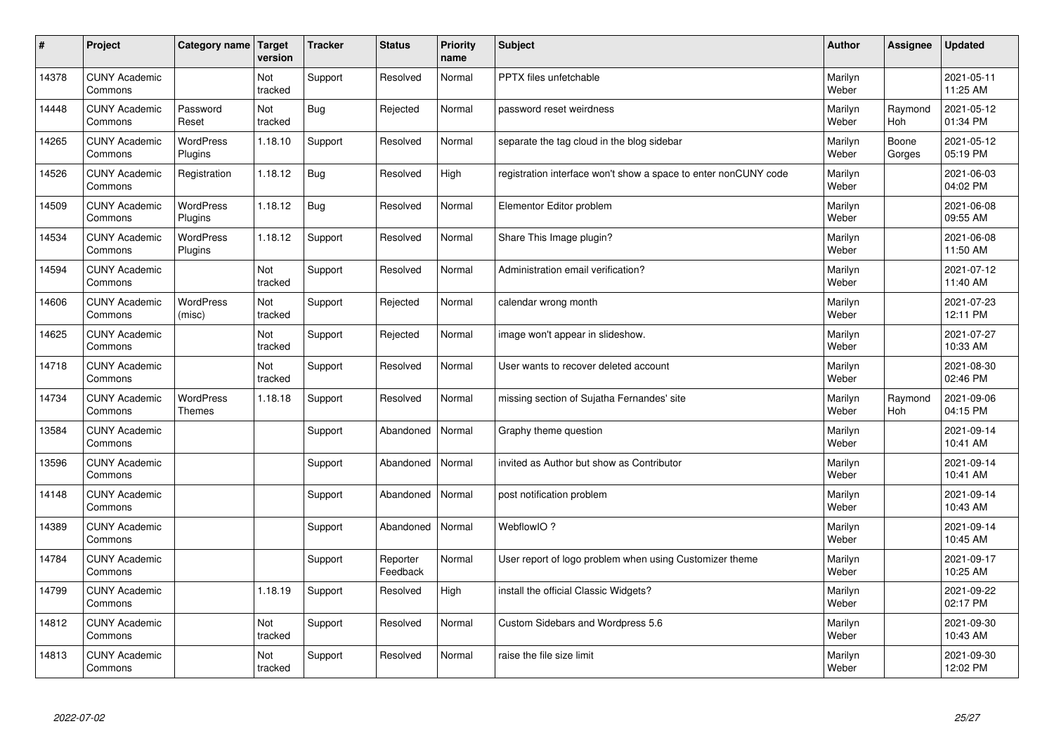| $\vert$ # | Project                         | Category name Target        | version        | <b>Tracker</b> | <b>Status</b>        | <b>Priority</b><br>name | <b>Subject</b>                                                  | <b>Author</b>    | <b>Assignee</b> | <b>Updated</b>         |
|-----------|---------------------------------|-----------------------------|----------------|----------------|----------------------|-------------------------|-----------------------------------------------------------------|------------------|-----------------|------------------------|
| 14378     | <b>CUNY Academic</b><br>Commons |                             | Not<br>tracked | Support        | Resolved             | Normal                  | PPTX files unfetchable                                          | Marilyn<br>Weber |                 | 2021-05-11<br>11:25 AM |
| 14448     | <b>CUNY Academic</b><br>Commons | Password<br>Reset           | Not<br>tracked | <b>Bug</b>     | Rejected             | Normal                  | password reset weirdness                                        | Marilyn<br>Weber | Raymond<br>Hoh  | 2021-05-12<br>01:34 PM |
| 14265     | <b>CUNY Academic</b><br>Commons | WordPress<br>Plugins        | 1.18.10        | Support        | Resolved             | Normal                  | separate the tag cloud in the blog sidebar                      | Marilyn<br>Weber | Boone<br>Gorges | 2021-05-12<br>05:19 PM |
| 14526     | <b>CUNY Academic</b><br>Commons | Registration                | 1.18.12        | Bug            | Resolved             | High                    | registration interface won't show a space to enter nonCUNY code | Marilyn<br>Weber |                 | 2021-06-03<br>04:02 PM |
| 14509     | <b>CUNY Academic</b><br>Commons | <b>WordPress</b><br>Plugins | 1.18.12        | <b>Bug</b>     | Resolved             | Normal                  | Elementor Editor problem                                        | Marilyn<br>Weber |                 | 2021-06-08<br>09:55 AM |
| 14534     | <b>CUNY Academic</b><br>Commons | <b>WordPress</b><br>Plugins | 1.18.12        | Support        | Resolved             | Normal                  | Share This Image plugin?                                        | Marilyn<br>Weber |                 | 2021-06-08<br>11:50 AM |
| 14594     | <b>CUNY Academic</b><br>Commons |                             | Not<br>tracked | Support        | Resolved             | Normal                  | Administration email verification?                              | Marilyn<br>Weber |                 | 2021-07-12<br>11:40 AM |
| 14606     | <b>CUNY Academic</b><br>Commons | WordPress<br>(misc)         | Not<br>tracked | Support        | Rejected             | Normal                  | calendar wrong month                                            | Marilyn<br>Weber |                 | 2021-07-23<br>12:11 PM |
| 14625     | <b>CUNY Academic</b><br>Commons |                             | Not<br>tracked | Support        | Rejected             | Normal                  | image won't appear in slideshow.                                | Marilyn<br>Weber |                 | 2021-07-27<br>10:33 AM |
| 14718     | <b>CUNY Academic</b><br>Commons |                             | Not<br>tracked | Support        | Resolved             | Normal                  | User wants to recover deleted account                           | Marilyn<br>Weber |                 | 2021-08-30<br>02:46 PM |
| 14734     | <b>CUNY Academic</b><br>Commons | WordPress<br><b>Themes</b>  | 1.18.18        | Support        | Resolved             | Normal                  | missing section of Sujatha Fernandes' site                      | Marilyn<br>Weber | Raymond<br>Hoh  | 2021-09-06<br>04:15 PM |
| 13584     | <b>CUNY Academic</b><br>Commons |                             |                | Support        | Abandoned            | Normal                  | Graphy theme question                                           | Marilyn<br>Weber |                 | 2021-09-14<br>10:41 AM |
| 13596     | <b>CUNY Academic</b><br>Commons |                             |                | Support        | Abandoned            | Normal                  | invited as Author but show as Contributor                       | Marilyn<br>Weber |                 | 2021-09-14<br>10:41 AM |
| 14148     | <b>CUNY Academic</b><br>Commons |                             |                | Support        | Abandoned            | Normal                  | post notification problem                                       | Marilyn<br>Weber |                 | 2021-09-14<br>10:43 AM |
| 14389     | <b>CUNY Academic</b><br>Commons |                             |                | Support        | Abandoned            | Normal                  | WebflowIO?                                                      | Marilyn<br>Weber |                 | 2021-09-14<br>10:45 AM |
| 14784     | <b>CUNY Academic</b><br>Commons |                             |                | Support        | Reporter<br>Feedback | Normal                  | User report of logo problem when using Customizer theme         | Marilyn<br>Weber |                 | 2021-09-17<br>10:25 AM |
| 14799     | <b>CUNY Academic</b><br>Commons |                             | 1.18.19        | Support        | Resolved             | High                    | install the official Classic Widgets?                           | Marilyn<br>Weber |                 | 2021-09-22<br>02:17 PM |
| 14812     | <b>CUNY Academic</b><br>Commons |                             | Not<br>tracked | Support        | Resolved             | Normal                  | Custom Sidebars and Wordpress 5.6                               | Marilyn<br>Weber |                 | 2021-09-30<br>10:43 AM |
| 14813     | <b>CUNY Academic</b><br>Commons |                             | Not<br>tracked | Support        | Resolved             | Normal                  | raise the file size limit                                       | Marilyn<br>Weber |                 | 2021-09-30<br>12:02 PM |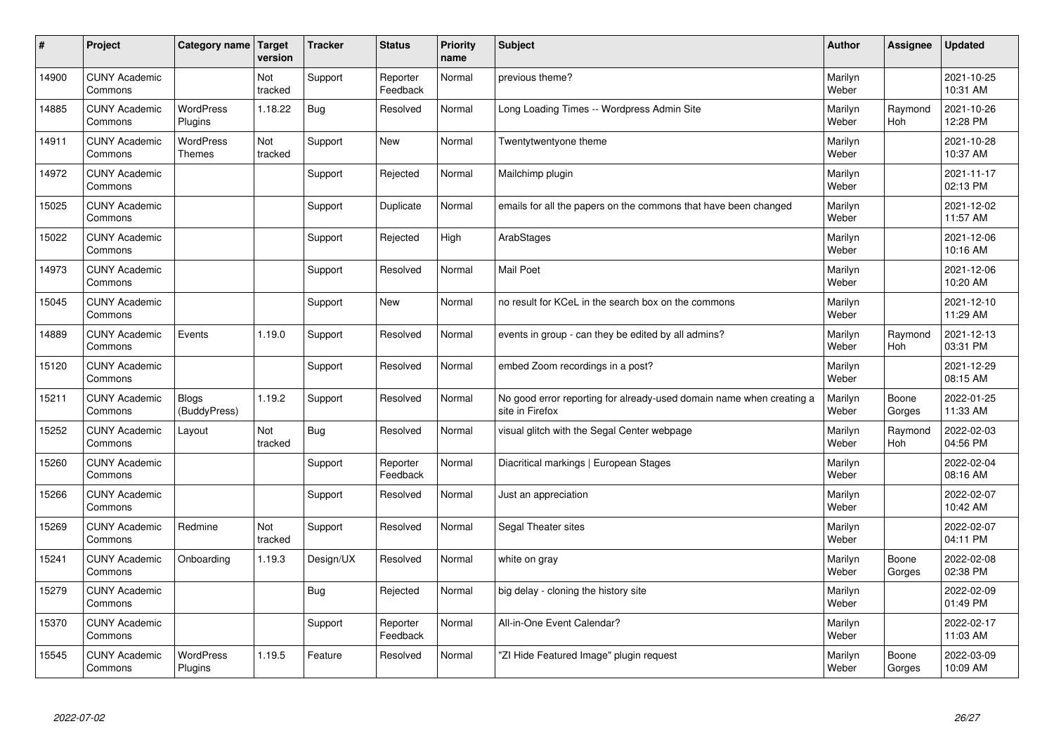| $\vert$ # | Project                         | Category name                     | <b>Target</b><br>version | <b>Tracker</b> | <b>Status</b>        | <b>Priority</b><br>name | <b>Subject</b>                                                                          | <b>Author</b>    | Assignee        | <b>Updated</b>         |
|-----------|---------------------------------|-----------------------------------|--------------------------|----------------|----------------------|-------------------------|-----------------------------------------------------------------------------------------|------------------|-----------------|------------------------|
| 14900     | <b>CUNY Academic</b><br>Commons |                                   | Not<br>tracked           | Support        | Reporter<br>Feedback | Normal                  | previous theme?                                                                         | Marilyn<br>Weber |                 | 2021-10-25<br>10:31 AM |
| 14885     | <b>CUNY Academic</b><br>Commons | <b>WordPress</b><br>Plugins       | 1.18.22                  | Bug            | Resolved             | Normal                  | Long Loading Times -- Wordpress Admin Site                                              | Marilyn<br>Weber | Raymond<br>Hoh  | 2021-10-26<br>12:28 PM |
| 14911     | <b>CUNY Academic</b><br>Commons | <b>WordPress</b><br><b>Themes</b> | Not<br>tracked           | Support        | <b>New</b>           | Normal                  | Twentytwentyone theme                                                                   | Marilyn<br>Weber |                 | 2021-10-28<br>10:37 AM |
| 14972     | <b>CUNY Academic</b><br>Commons |                                   |                          | Support        | Rejected             | Normal                  | Mailchimp plugin                                                                        | Marilyn<br>Weber |                 | 2021-11-17<br>02:13 PM |
| 15025     | <b>CUNY Academic</b><br>Commons |                                   |                          | Support        | Duplicate            | Normal                  | emails for all the papers on the commons that have been changed                         | Marilyn<br>Weber |                 | 2021-12-02<br>11:57 AM |
| 15022     | <b>CUNY Academic</b><br>Commons |                                   |                          | Support        | Rejected             | High                    | ArabStages                                                                              | Marilyn<br>Weber |                 | 2021-12-06<br>10:16 AM |
| 14973     | <b>CUNY Academic</b><br>Commons |                                   |                          | Support        | Resolved             | Normal                  | <b>Mail Poet</b>                                                                        | Marilyn<br>Weber |                 | 2021-12-06<br>10:20 AM |
| 15045     | <b>CUNY Academic</b><br>Commons |                                   |                          | Support        | <b>New</b>           | Normal                  | no result for KCeL in the search box on the commons                                     | Marilyn<br>Weber |                 | 2021-12-10<br>11:29 AM |
| 14889     | <b>CUNY Academic</b><br>Commons | Events                            | 1.19.0                   | Support        | Resolved             | Normal                  | events in group - can they be edited by all admins?                                     | Marilyn<br>Weber | Raymond<br>Hoh  | 2021-12-13<br>03:31 PM |
| 15120     | <b>CUNY Academic</b><br>Commons |                                   |                          | Support        | Resolved             | Normal                  | embed Zoom recordings in a post?                                                        | Marilyn<br>Weber |                 | 2021-12-29<br>08:15 AM |
| 15211     | <b>CUNY Academic</b><br>Commons | <b>Blogs</b><br>(BuddyPress)      | 1.19.2                   | Support        | Resolved             | Normal                  | No good error reporting for already-used domain name when creating a<br>site in Firefox | Marilyn<br>Weber | Boone<br>Gorges | 2022-01-25<br>11:33 AM |
| 15252     | <b>CUNY Academic</b><br>Commons | Layout                            | Not<br>tracked           | Bug            | Resolved             | Normal                  | visual glitch with the Segal Center webpage                                             | Marilyn<br>Weber | Raymond<br>Hoh  | 2022-02-03<br>04:56 PM |
| 15260     | <b>CUNY Academic</b><br>Commons |                                   |                          | Support        | Reporter<br>Feedback | Normal                  | Diacritical markings   European Stages                                                  | Marilyn<br>Weber |                 | 2022-02-04<br>08:16 AM |
| 15266     | <b>CUNY Academic</b><br>Commons |                                   |                          | Support        | Resolved             | Normal                  | Just an appreciation                                                                    | Marilyn<br>Weber |                 | 2022-02-07<br>10:42 AM |
| 15269     | <b>CUNY Academic</b><br>Commons | Redmine                           | Not<br>tracked           | Support        | Resolved             | Normal                  | Segal Theater sites                                                                     | Marilyn<br>Weber |                 | 2022-02-07<br>04:11 PM |
| 15241     | <b>CUNY Academic</b><br>Commons | Onboarding                        | 1.19.3                   | Design/UX      | Resolved             | Normal                  | white on gray                                                                           | Marilyn<br>Weber | Boone<br>Gorges | 2022-02-08<br>02:38 PM |
| 15279     | <b>CUNY Academic</b><br>Commons |                                   |                          | Bug            | Rejected             | Normal                  | big delay - cloning the history site                                                    | Marilyn<br>Weber |                 | 2022-02-09<br>01:49 PM |
| 15370     | <b>CUNY Academic</b><br>Commons |                                   |                          | Support        | Reporter<br>Feedback | Normal                  | All-in-One Event Calendar?                                                              | Marilyn<br>Weber |                 | 2022-02-17<br>11:03 AM |
| 15545     | <b>CUNY Academic</b><br>Commons | <b>WordPress</b><br>Plugins       | 1.19.5                   | Feature        | Resolved             | Normal                  | 'ZI Hide Featured Image" plugin reguest                                                 | Marilyn<br>Weber | Boone<br>Gorges | 2022-03-09<br>10:09 AM |